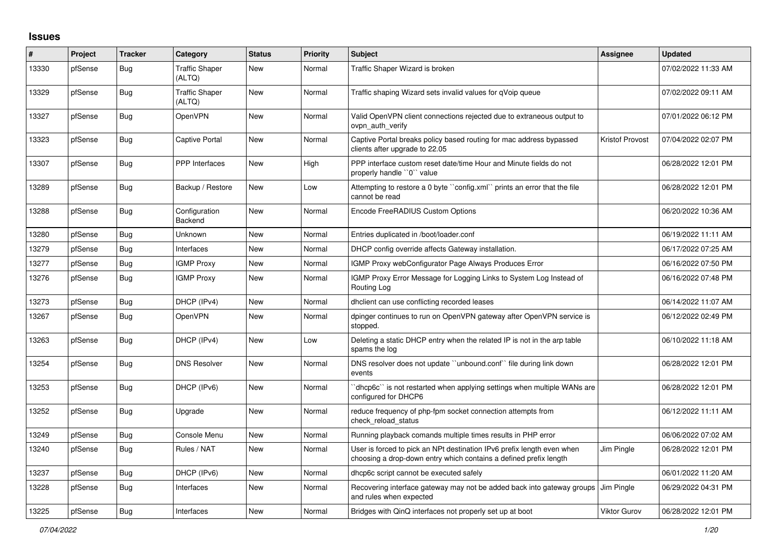## **Issues**

| #     | Project | <b>Tracker</b> | Category                        | <b>Status</b> | <b>Priority</b> | <b>Subject</b>                                                                                                                              | Assignee               | <b>Updated</b>      |
|-------|---------|----------------|---------------------------------|---------------|-----------------|---------------------------------------------------------------------------------------------------------------------------------------------|------------------------|---------------------|
| 13330 | pfSense | Bug            | <b>Traffic Shaper</b><br>(ALTQ) | New           | Normal          | Traffic Shaper Wizard is broken                                                                                                             |                        | 07/02/2022 11:33 AM |
| 13329 | pfSense | Bug            | <b>Traffic Shaper</b><br>(ALTQ) | New           | Normal          | Traffic shaping Wizard sets invalid values for qVoip queue                                                                                  |                        | 07/02/2022 09:11 AM |
| 13327 | pfSense | <b>Bug</b>     | OpenVPN                         | New           | Normal          | Valid OpenVPN client connections rejected due to extraneous output to<br>ovpn auth verify                                                   |                        | 07/01/2022 06:12 PM |
| 13323 | pfSense | <b>Bug</b>     | Captive Portal                  | New           | Normal          | Captive Portal breaks policy based routing for mac address bypassed<br>clients after upgrade to 22.05                                       | <b>Kristof Provost</b> | 07/04/2022 02:07 PM |
| 13307 | pfSense | <b>Bug</b>     | <b>PPP</b> Interfaces           | New           | High            | PPP interface custom reset date/time Hour and Minute fields do not<br>properly handle "0" value                                             |                        | 06/28/2022 12:01 PM |
| 13289 | pfSense | <b>Bug</b>     | Backup / Restore                | New           | Low             | Attempting to restore a 0 byte ``config.xml`` prints an error that the file<br>cannot be read                                               |                        | 06/28/2022 12:01 PM |
| 13288 | pfSense | <b>Bug</b>     | Configuration<br>Backend        | <b>New</b>    | Normal          | Encode FreeRADIUS Custom Options                                                                                                            |                        | 06/20/2022 10:36 AM |
| 13280 | pfSense | <b>Bug</b>     | Unknown                         | <b>New</b>    | Normal          | Entries duplicated in /boot/loader.conf                                                                                                     |                        | 06/19/2022 11:11 AM |
| 13279 | pfSense | Bug            | Interfaces                      | New           | Normal          | DHCP config override affects Gateway installation.                                                                                          |                        | 06/17/2022 07:25 AM |
| 13277 | pfSense | Bug            | <b>IGMP Proxy</b>               | New           | Normal          | IGMP Proxy webConfigurator Page Always Produces Error                                                                                       |                        | 06/16/2022 07:50 PM |
| 13276 | pfSense | Bug            | <b>IGMP Proxy</b>               | New           | Normal          | IGMP Proxy Error Message for Logging Links to System Log Instead of<br>Routing Log                                                          |                        | 06/16/2022 07:48 PM |
| 13273 | pfSense | Bug            | DHCP (IPv4)                     | New           | Normal          | dholient can use conflicting recorded leases                                                                                                |                        | 06/14/2022 11:07 AM |
| 13267 | pfSense | <b>Bug</b>     | OpenVPN                         | New           | Normal          | dpinger continues to run on OpenVPN gateway after OpenVPN service is<br>stopped.                                                            |                        | 06/12/2022 02:49 PM |
| 13263 | pfSense | <b>Bug</b>     | DHCP (IPv4)                     | New           | Low             | Deleting a static DHCP entry when the related IP is not in the arp table<br>spams the log                                                   |                        | 06/10/2022 11:18 AM |
| 13254 | pfSense | <b>Bug</b>     | <b>DNS Resolver</b>             | <b>New</b>    | Normal          | DNS resolver does not update "unbound.conf" file during link down<br>events                                                                 |                        | 06/28/2022 12:01 PM |
| 13253 | pfSense | Bug            | DHCP (IPv6)                     | <b>New</b>    | Normal          | dhcp6c" is not restarted when applying settings when multiple WANs are<br>configured for DHCP6                                              |                        | 06/28/2022 12:01 PM |
| 13252 | pfSense | <b>Bug</b>     | Upgrade                         | <b>New</b>    | Normal          | reduce frequency of php-fpm socket connection attempts from<br>check_reload_status                                                          |                        | 06/12/2022 11:11 AM |
| 13249 | pfSense | Bug            | Console Menu                    | <b>New</b>    | Normal          | Running playback comands multiple times results in PHP error                                                                                |                        | 06/06/2022 07:02 AM |
| 13240 | pfSense | Bug            | Rules / NAT                     | New           | Normal          | User is forced to pick an NPt destination IPv6 prefix length even when<br>choosing a drop-down entry which contains a defined prefix length | Jim Pingle             | 06/28/2022 12:01 PM |
| 13237 | pfSense | Bug            | DHCP (IPv6)                     | New           | Normal          | dhcp6c script cannot be executed safely                                                                                                     |                        | 06/01/2022 11:20 AM |
| 13228 | pfSense | Bug            | Interfaces                      | New           | Normal          | Recovering interface gateway may not be added back into gateway groups<br>and rules when expected                                           | Jim Pingle             | 06/29/2022 04:31 PM |
| 13225 | pfSense | Bug            | Interfaces                      | New           | Normal          | Bridges with QinQ interfaces not properly set up at boot                                                                                    | <b>Viktor Gurov</b>    | 06/28/2022 12:01 PM |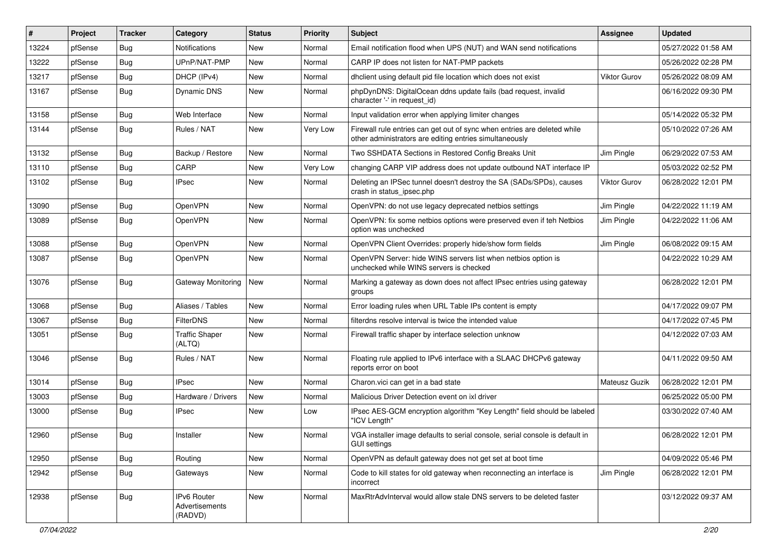| #     | Project | <b>Tracker</b> | Category                                 | <b>Status</b> | <b>Priority</b> | Subject                                                                                                                             | <b>Assignee</b>     | <b>Updated</b>      |
|-------|---------|----------------|------------------------------------------|---------------|-----------------|-------------------------------------------------------------------------------------------------------------------------------------|---------------------|---------------------|
| 13224 | pfSense | <b>Bug</b>     | <b>Notifications</b>                     | New           | Normal          | Email notification flood when UPS (NUT) and WAN send notifications                                                                  |                     | 05/27/2022 01:58 AM |
| 13222 | pfSense | Bug            | UPnP/NAT-PMP                             | New           | Normal          | CARP IP does not listen for NAT-PMP packets                                                                                         |                     | 05/26/2022 02:28 PM |
| 13217 | pfSense | <b>Bug</b>     | DHCP (IPv4)                              | New           | Normal          | dhclient using default pid file location which does not exist                                                                       | <b>Viktor Gurov</b> | 05/26/2022 08:09 AM |
| 13167 | pfSense | <b>Bug</b>     | Dynamic DNS                              | New           | Normal          | phpDynDNS: DigitalOcean ddns update fails (bad request, invalid<br>character '-' in request_id)                                     |                     | 06/16/2022 09:30 PM |
| 13158 | pfSense | Bug            | Web Interface                            | New           | Normal          | Input validation error when applying limiter changes                                                                                |                     | 05/14/2022 05:32 PM |
| 13144 | pfSense | Bug            | Rules / NAT                              | New           | Very Low        | Firewall rule entries can get out of sync when entries are deleted while<br>other administrators are editing entries simultaneously |                     | 05/10/2022 07:26 AM |
| 13132 | pfSense | <b>Bug</b>     | Backup / Restore                         | New           | Normal          | Two SSHDATA Sections in Restored Config Breaks Unit                                                                                 | Jim Pingle          | 06/29/2022 07:53 AM |
| 13110 | pfSense | <b>Bug</b>     | CARP                                     | New           | Very Low        | changing CARP VIP address does not update outbound NAT interface IP                                                                 |                     | 05/03/2022 02:52 PM |
| 13102 | pfSense | <b>Bug</b>     | <b>IPsec</b>                             | New           | Normal          | Deleting an IPSec tunnel doesn't destroy the SA (SADs/SPDs), causes<br>crash in status_ipsec.php                                    | Viktor Gurov        | 06/28/2022 12:01 PM |
| 13090 | pfSense | Bug            | OpenVPN                                  | <b>New</b>    | Normal          | OpenVPN: do not use legacy deprecated netbios settings                                                                              | Jim Pingle          | 04/22/2022 11:19 AM |
| 13089 | pfSense | <b>Bug</b>     | OpenVPN                                  | New           | Normal          | OpenVPN: fix some netbios options were preserved even if teh Netbios<br>option was unchecked                                        | Jim Pingle          | 04/22/2022 11:06 AM |
| 13088 | pfSense | Bug            | OpenVPN                                  | New           | Normal          | OpenVPN Client Overrides: properly hide/show form fields                                                                            | Jim Pingle          | 06/08/2022 09:15 AM |
| 13087 | pfSense | <b>Bug</b>     | <b>OpenVPN</b>                           | New           | Normal          | OpenVPN Server: hide WINS servers list when netbios option is<br>unchecked while WINS servers is checked                            |                     | 04/22/2022 10:29 AM |
| 13076 | pfSense | Bug            | Gateway Monitoring                       | <b>New</b>    | Normal          | Marking a gateway as down does not affect IPsec entries using gateway<br>groups                                                     |                     | 06/28/2022 12:01 PM |
| 13068 | pfSense | Bug            | Aliases / Tables                         | <b>New</b>    | Normal          | Error loading rules when URL Table IPs content is empty                                                                             |                     | 04/17/2022 09:07 PM |
| 13067 | pfSense | <b>Bug</b>     | <b>FilterDNS</b>                         | New           | Normal          | filterdns resolve interval is twice the intended value                                                                              |                     | 04/17/2022 07:45 PM |
| 13051 | pfSense | <b>Bug</b>     | <b>Traffic Shaper</b><br>(ALTQ)          | New           | Normal          | Firewall traffic shaper by interface selection unknow                                                                               |                     | 04/12/2022 07:03 AM |
| 13046 | pfSense | Bug            | Rules / NAT                              | <b>New</b>    | Normal          | Floating rule applied to IPv6 interface with a SLAAC DHCPv6 gateway<br>reports error on boot                                        |                     | 04/11/2022 09:50 AM |
| 13014 | pfSense | Bug            | <b>IPsec</b>                             | New           | Normal          | Charon.vici can get in a bad state                                                                                                  | Mateusz Guzik       | 06/28/2022 12:01 PM |
| 13003 | pfSense | Bug            | Hardware / Drivers                       | New           | Normal          | Malicious Driver Detection event on ixl driver                                                                                      |                     | 06/25/2022 05:00 PM |
| 13000 | pfSense | <b>Bug</b>     | <b>IPsec</b>                             | New           | Low             | IPsec AES-GCM encryption algorithm "Key Length" field should be labeled<br>"ICV Length"                                             |                     | 03/30/2022 07:40 AM |
| 12960 | pfSense | Bug            | Installer                                | <b>New</b>    | Normal          | VGA installer image defaults to serial console, serial console is default in<br><b>GUI settings</b>                                 |                     | 06/28/2022 12:01 PM |
| 12950 | pfSense | Bug            | Routing                                  | New           | Normal          | OpenVPN as default gateway does not get set at boot time                                                                            |                     | 04/09/2022 05:46 PM |
| 12942 | pfSense | <b>Bug</b>     | Gateways                                 | New           | Normal          | Code to kill states for old gateway when reconnecting an interface is<br>incorrect                                                  | Jim Pingle          | 06/28/2022 12:01 PM |
| 12938 | pfSense | <b>Bug</b>     | IPv6 Router<br>Advertisements<br>(RADVD) | New           | Normal          | MaxRtrAdvInterval would allow stale DNS servers to be deleted faster                                                                |                     | 03/12/2022 09:37 AM |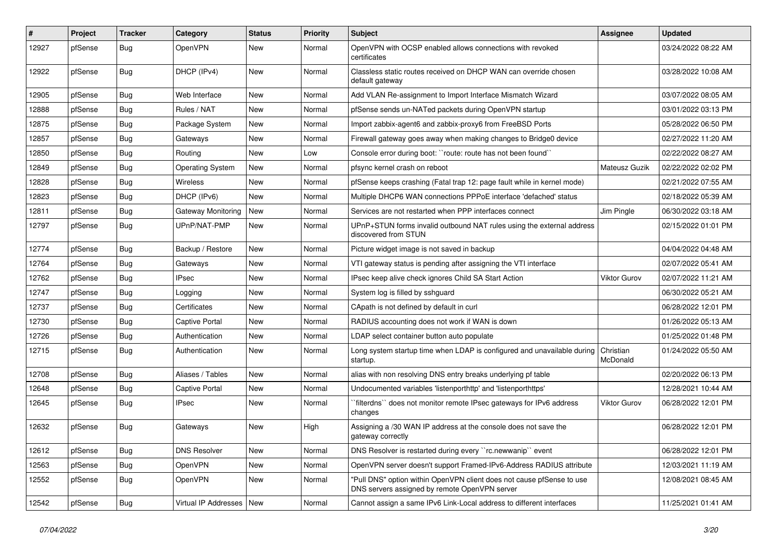| #     | Project | <b>Tracker</b> | Category                   | <b>Status</b> | <b>Priority</b> | <b>Subject</b>                                                                                                         | <b>Assignee</b>     | <b>Updated</b>      |
|-------|---------|----------------|----------------------------|---------------|-----------------|------------------------------------------------------------------------------------------------------------------------|---------------------|---------------------|
| 12927 | pfSense | <b>Bug</b>     | OpenVPN                    | New           | Normal          | OpenVPN with OCSP enabled allows connections with revoked<br>certificates                                              |                     | 03/24/2022 08:22 AM |
| 12922 | pfSense | Bug            | DHCP (IPv4)                | <b>New</b>    | Normal          | Classless static routes received on DHCP WAN can override chosen<br>default gateway                                    |                     | 03/28/2022 10:08 AM |
| 12905 | pfSense | <b>Bug</b>     | Web Interface              | <b>New</b>    | Normal          | Add VLAN Re-assignment to Import Interface Mismatch Wizard                                                             |                     | 03/07/2022 08:05 AM |
| 12888 | pfSense | <b>Bug</b>     | Rules / NAT                | New           | Normal          | pfSense sends un-NATed packets during OpenVPN startup                                                                  |                     | 03/01/2022 03:13 PM |
| 12875 | pfSense | <b>Bug</b>     | Package System             | New           | Normal          | Import zabbix-agent6 and zabbix-proxy6 from FreeBSD Ports                                                              |                     | 05/28/2022 06:50 PM |
| 12857 | pfSense | <b>Bug</b>     | Gateways                   | <b>New</b>    | Normal          | Firewall gateway goes away when making changes to Bridge0 device                                                       |                     | 02/27/2022 11:20 AM |
| 12850 | pfSense | <b>Bug</b>     | Routing                    | New           | Low             | Console error during boot: "route: route has not been found"                                                           |                     | 02/22/2022 08:27 AM |
| 12849 | pfSense | <b>Bug</b>     | <b>Operating System</b>    | <b>New</b>    | Normal          | pfsync kernel crash on reboot                                                                                          | Mateusz Guzik       | 02/22/2022 02:02 PM |
| 12828 | pfSense | Bug            | Wireless                   | New           | Normal          | pfSense keeps crashing (Fatal trap 12: page fault while in kernel mode)                                                |                     | 02/21/2022 07:55 AM |
| 12823 | pfSense | <b>Bug</b>     | DHCP (IPv6)                | <b>New</b>    | Normal          | Multiple DHCP6 WAN connections PPPoE interface 'defached' status                                                       |                     | 02/18/2022 05:39 AM |
| 12811 | pfSense | <b>Bug</b>     | Gateway Monitoring         | <b>New</b>    | Normal          | Services are not restarted when PPP interfaces connect                                                                 | Jim Pingle          | 06/30/2022 03:18 AM |
| 12797 | pfSense | <b>Bug</b>     | UPnP/NAT-PMP               | New           | Normal          | UPnP+STUN forms invalid outbound NAT rules using the external address<br>discovered from STUN                          |                     | 02/15/2022 01:01 PM |
| 12774 | pfSense | <b>Bug</b>     | Backup / Restore           | <b>New</b>    | Normal          | Picture widget image is not saved in backup                                                                            |                     | 04/04/2022 04:48 AM |
| 12764 | pfSense | <b>Bug</b>     | Gateways                   | New           | Normal          | VTI gateway status is pending after assigning the VTI interface                                                        |                     | 02/07/2022 05:41 AM |
| 12762 | pfSense | <b>Bug</b>     | <b>IPsec</b>               | <b>New</b>    | Normal          | IPsec keep alive check ignores Child SA Start Action                                                                   | <b>Viktor Gurov</b> | 02/07/2022 11:21 AM |
| 12747 | pfSense | <b>Bug</b>     | Logging                    | New           | Normal          | System log is filled by sshguard                                                                                       |                     | 06/30/2022 05:21 AM |
| 12737 | pfSense | <b>Bug</b>     | Certificates               | New           | Normal          | CApath is not defined by default in curl                                                                               |                     | 06/28/2022 12:01 PM |
| 12730 | pfSense | <b>Bug</b>     | Captive Portal             | <b>New</b>    | Normal          | RADIUS accounting does not work if WAN is down                                                                         |                     | 01/26/2022 05:13 AM |
| 12726 | pfSense | Bug            | Authentication             | New           | Normal          | LDAP select container button auto populate                                                                             |                     | 01/25/2022 01:48 PM |
| 12715 | pfSense | <b>Bug</b>     | Authentication             | New           | Normal          | Long system startup time when LDAP is configured and unavailable during Christian<br>startup.                          | McDonald            | 01/24/2022 05:50 AM |
| 12708 | pfSense | <b>Bug</b>     | Aliases / Tables           | New           | Normal          | alias with non resolving DNS entry breaks underlying pf table                                                          |                     | 02/20/2022 06:13 PM |
| 12648 | pfSense | <b>Bug</b>     | Captive Portal             | <b>New</b>    | Normal          | Undocumented variables 'listenporthttp' and 'listenporthttps'                                                          |                     | 12/28/2021 10:44 AM |
| 12645 | pfSense | <b>Bug</b>     | IPsec                      | New           | Normal          | `filterdns`` does not monitor remote IPsec gateways for IPv6 address<br>changes                                        | <b>Viktor Gurov</b> | 06/28/2022 12:01 PM |
| 12632 | pfSense | Bug            | Gateways                   | <b>New</b>    | High            | Assigning a /30 WAN IP address at the console does not save the<br>gateway correctly                                   |                     | 06/28/2022 12:01 PM |
| 12612 | pfSense | <b>Bug</b>     | <b>DNS Resolver</b>        | New           | Normal          | DNS Resolver is restarted during every "rc.newwanip" event                                                             |                     | 06/28/2022 12:01 PM |
| 12563 | pfSense | <b>Bug</b>     | OpenVPN                    | New           | Normal          | OpenVPN server doesn't support Framed-IPv6-Address RADIUS attribute                                                    |                     | 12/03/2021 11:19 AM |
| 12552 | pfSense | <b>Bug</b>     | OpenVPN                    | New           | Normal          | "Pull DNS" option within OpenVPN client does not cause pfSense to use<br>DNS servers assigned by remote OpenVPN server |                     | 12/08/2021 08:45 AM |
| 12542 | pfSense | Bug            | Virtual IP Addresses   New |               | Normal          | Cannot assign a same IPv6 Link-Local address to different interfaces                                                   |                     | 11/25/2021 01:41 AM |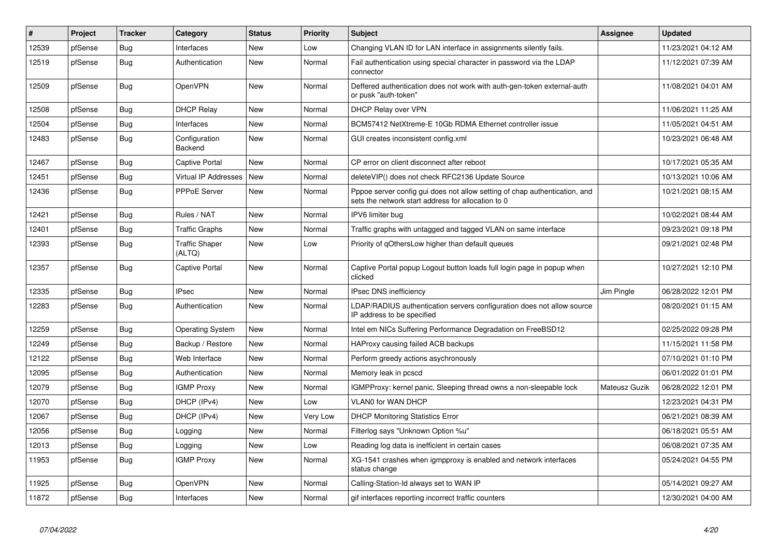| $\vert$ # | Project | <b>Tracker</b> | Category                        | <b>Status</b> | <b>Priority</b> | <b>Subject</b>                                                                                                                   | <b>Assignee</b> | <b>Updated</b>      |
|-----------|---------|----------------|---------------------------------|---------------|-----------------|----------------------------------------------------------------------------------------------------------------------------------|-----------------|---------------------|
| 12539     | pfSense | Bug            | Interfaces                      | <b>New</b>    | Low             | Changing VLAN ID for LAN interface in assignments silently fails.                                                                |                 | 11/23/2021 04:12 AM |
| 12519     | pfSense | <b>Bug</b>     | Authentication                  | <b>New</b>    | Normal          | Fail authentication using special character in password via the LDAP<br>connector                                                |                 | 11/12/2021 07:39 AM |
| 12509     | pfSense | Bug            | <b>OpenVPN</b>                  | <b>New</b>    | Normal          | Deffered authentication does not work with auth-gen-token external-auth<br>or pusk "auth-token"                                  |                 | 11/08/2021 04:01 AM |
| 12508     | pfSense | <b>Bug</b>     | <b>DHCP Relay</b>               | New           | Normal          | <b>DHCP Relay over VPN</b>                                                                                                       |                 | 11/06/2021 11:25 AM |
| 12504     | pfSense | <b>Bug</b>     | Interfaces                      | <b>New</b>    | Normal          | BCM57412 NetXtreme-E 10Gb RDMA Ethernet controller issue                                                                         |                 | 11/05/2021 04:51 AM |
| 12483     | pfSense | <b>Bug</b>     | Configuration<br>Backend        | New           | Normal          | GUI creates inconsistent config.xml                                                                                              |                 | 10/23/2021 06:48 AM |
| 12467     | pfSense | <b>Bug</b>     | Captive Portal                  | <b>New</b>    | Normal          | CP error on client disconnect after reboot                                                                                       |                 | 10/17/2021 05:35 AM |
| 12451     | pfSense | Bug            | Virtual IP Addresses            | New           | Normal          | deleteVIP() does not check RFC2136 Update Source                                                                                 |                 | 10/13/2021 10:06 AM |
| 12436     | pfSense | <b>Bug</b>     | <b>PPPoE Server</b>             | New           | Normal          | Pppoe server config gui does not allow setting of chap authentication, and<br>sets the network start address for allocation to 0 |                 | 10/21/2021 08:15 AM |
| 12421     | pfSense | Bug            | Rules / NAT                     | <b>New</b>    | Normal          | IPV6 limiter bug                                                                                                                 |                 | 10/02/2021 08:44 AM |
| 12401     | pfSense | <b>Bug</b>     | <b>Traffic Graphs</b>           | New           | Normal          | Traffic graphs with untagged and tagged VLAN on same interface                                                                   |                 | 09/23/2021 09:18 PM |
| 12393     | pfSense | <b>Bug</b>     | <b>Traffic Shaper</b><br>(ALTQ) | New           | Low             | Priority of gOthersLow higher than default queues                                                                                |                 | 09/21/2021 02:48 PM |
| 12357     | pfSense | <b>Bug</b>     | Captive Portal                  | <b>New</b>    | Normal          | Captive Portal popup Logout button loads full login page in popup when<br>clicked                                                |                 | 10/27/2021 12:10 PM |
| 12335     | pfSense | <b>Bug</b>     | <b>IPsec</b>                    | <b>New</b>    | Normal          | <b>IPsec DNS inefficiency</b>                                                                                                    | Jim Pingle      | 06/28/2022 12:01 PM |
| 12283     | pfSense | <b>Bug</b>     | Authentication                  | <b>New</b>    | Normal          | LDAP/RADIUS authentication servers configuration does not allow source<br>IP address to be specified                             |                 | 08/20/2021 01:15 AM |
| 12259     | pfSense | <b>Bug</b>     | <b>Operating System</b>         | <b>New</b>    | Normal          | Intel em NICs Suffering Performance Degradation on FreeBSD12                                                                     |                 | 02/25/2022 09:28 PM |
| 12249     | pfSense | Bug            | Backup / Restore                | New           | Normal          | HAProxy causing failed ACB backups                                                                                               |                 | 11/15/2021 11:58 PM |
| 12122     | pfSense | Bug            | Web Interface                   | New           | Normal          | Perform greedy actions asychronously                                                                                             |                 | 07/10/2021 01:10 PM |
| 12095     | pfSense | <b>Bug</b>     | Authentication                  | New           | Normal          | Memory leak in pcscd                                                                                                             |                 | 06/01/2022 01:01 PM |
| 12079     | pfSense | <b>Bug</b>     | <b>IGMP Proxy</b>               | <b>New</b>    | Normal          | IGMPProxy: kernel panic, Sleeping thread owns a non-sleepable lock                                                               | Mateusz Guzik   | 06/28/2022 12:01 PM |
| 12070     | pfSense | <b>Bug</b>     | DHCP (IPv4)                     | <b>New</b>    | Low             | <b>VLANO for WAN DHCP</b>                                                                                                        |                 | 12/23/2021 04:31 PM |
| 12067     | pfSense | <b>Bug</b>     | DHCP (IPv4)                     | New           | Very Low        | <b>DHCP Monitoring Statistics Error</b>                                                                                          |                 | 06/21/2021 08:39 AM |
| 12056     | pfSense | <b>Bug</b>     | Logging                         | <b>New</b>    | Normal          | Filterlog says "Unknown Option %u"                                                                                               |                 | 06/18/2021 05:51 AM |
| 12013     | pfSense | <b>Bug</b>     | Logging                         | <b>New</b>    | Low             | Reading log data is inefficient in certain cases                                                                                 |                 | 06/08/2021 07:35 AM |
| 11953     | pfSense | <b>Bug</b>     | <b>IGMP Proxy</b>               | New           | Normal          | XG-1541 crashes when igmpproxy is enabled and network interfaces<br>status change                                                |                 | 05/24/2021 04:55 PM |
| 11925     | pfSense | Bug            | OpenVPN                         | <b>New</b>    | Normal          | Calling-Station-Id always set to WAN IP                                                                                          |                 | 05/14/2021 09:27 AM |
| 11872     | pfSense | <b>Bug</b>     | Interfaces                      | New           | Normal          | gif interfaces reporting incorrect traffic counters                                                                              |                 | 12/30/2021 04:00 AM |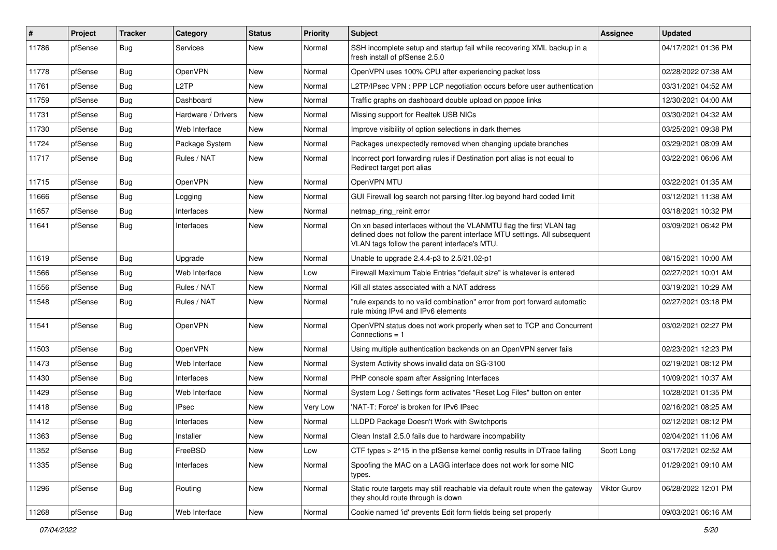| #     | Project | <b>Tracker</b> | Category           | <b>Status</b> | <b>Priority</b> | Subject                                                                                                                                                                                         | <b>Assignee</b>     | <b>Updated</b>      |
|-------|---------|----------------|--------------------|---------------|-----------------|-------------------------------------------------------------------------------------------------------------------------------------------------------------------------------------------------|---------------------|---------------------|
| 11786 | pfSense | <b>Bug</b>     | Services           | New           | Normal          | SSH incomplete setup and startup fail while recovering XML backup in a<br>fresh install of pfSense 2.5.0                                                                                        |                     | 04/17/2021 01:36 PM |
| 11778 | pfSense | Bug            | OpenVPN            | New           | Normal          | OpenVPN uses 100% CPU after experiencing packet loss                                                                                                                                            |                     | 02/28/2022 07:38 AM |
| 11761 | pfSense | Bug            | L2TP               | New           | Normal          | L2TP/IPsec VPN: PPP LCP negotiation occurs before user authentication                                                                                                                           |                     | 03/31/2021 04:52 AM |
| 11759 | pfSense | Bug            | Dashboard          | New           | Normal          | Traffic graphs on dashboard double upload on pppoe links                                                                                                                                        |                     | 12/30/2021 04:00 AM |
| 11731 | pfSense | <b>Bug</b>     | Hardware / Drivers | New           | Normal          | Missing support for Realtek USB NICs                                                                                                                                                            |                     | 03/30/2021 04:32 AM |
| 11730 | pfSense | Bug            | Web Interface      | New           | Normal          | Improve visibility of option selections in dark themes                                                                                                                                          |                     | 03/25/2021 09:38 PM |
| 11724 | pfSense | Bug            | Package System     | <b>New</b>    | Normal          | Packages unexpectedly removed when changing update branches                                                                                                                                     |                     | 03/29/2021 08:09 AM |
| 11717 | pfSense | <b>Bug</b>     | Rules / NAT        | New           | Normal          | Incorrect port forwarding rules if Destination port alias is not equal to<br>Redirect target port alias                                                                                         |                     | 03/22/2021 06:06 AM |
| 11715 | pfSense | Bug            | OpenVPN            | New           | Normal          | OpenVPN MTU                                                                                                                                                                                     |                     | 03/22/2021 01:35 AM |
| 11666 | pfSense | Bug            | Logging            | New           | Normal          | GUI Firewall log search not parsing filter.log beyond hard coded limit                                                                                                                          |                     | 03/12/2021 11:38 AM |
| 11657 | pfSense | Bug            | Interfaces         | New           | Normal          | netmap_ring_reinit error                                                                                                                                                                        |                     | 03/18/2021 10:32 PM |
| 11641 | pfSense | Bug            | Interfaces         | New           | Normal          | On xn based interfaces without the VLANMTU flag the first VLAN tag<br>defined does not follow the parent interface MTU settings. All subsequent<br>VLAN tags follow the parent interface's MTU. |                     | 03/09/2021 06:42 PM |
| 11619 | pfSense | Bug            | Upgrade            | New           | Normal          | Unable to upgrade 2.4.4-p3 to 2.5/21.02-p1                                                                                                                                                      |                     | 08/15/2021 10:00 AM |
| 11566 | pfSense | <b>Bug</b>     | Web Interface      | <b>New</b>    | Low             | Firewall Maximum Table Entries "default size" is whatever is entered                                                                                                                            |                     | 02/27/2021 10:01 AM |
| 11556 | pfSense | Bug            | Rules / NAT        | New           | Normal          | Kill all states associated with a NAT address                                                                                                                                                   |                     | 03/19/2021 10:29 AM |
| 11548 | pfSense | Bug            | Rules / NAT        | New           | Normal          | "rule expands to no valid combination" error from port forward automatic<br>rule mixing IPv4 and IPv6 elements                                                                                  |                     | 02/27/2021 03:18 PM |
| 11541 | pfSense | Bug            | OpenVPN            | New           | Normal          | OpenVPN status does not work properly when set to TCP and Concurrent<br>Connections $= 1$                                                                                                       |                     | 03/02/2021 02:27 PM |
| 11503 | pfSense | <b>Bug</b>     | OpenVPN            | <b>New</b>    | Normal          | Using multiple authentication backends on an OpenVPN server fails                                                                                                                               |                     | 02/23/2021 12:23 PM |
| 11473 | pfSense | <b>Bug</b>     | Web Interface      | New           | Normal          | System Activity shows invalid data on SG-3100                                                                                                                                                   |                     | 02/19/2021 08:12 PM |
| 11430 | pfSense | <b>Bug</b>     | Interfaces         | <b>New</b>    | Normal          | PHP console spam after Assigning Interfaces                                                                                                                                                     |                     | 10/09/2021 10:37 AM |
| 11429 | pfSense | <b>Bug</b>     | Web Interface      | New           | Normal          | System Log / Settings form activates "Reset Log Files" button on enter                                                                                                                          |                     | 10/28/2021 01:35 PM |
| 11418 | pfSense | <b>Bug</b>     | <b>IPsec</b>       | New           | Very Low        | 'NAT-T: Force' is broken for IPv6 IPsec                                                                                                                                                         |                     | 02/16/2021 08:25 AM |
| 11412 | pfSense | <b>Bug</b>     | Interfaces         | New           | Normal          | LLDPD Package Doesn't Work with Switchports                                                                                                                                                     |                     | 02/12/2021 08:12 PM |
| 11363 | pfSense | Bug            | Installer          | New           | Normal          | Clean Install 2.5.0 fails due to hardware incompability                                                                                                                                         |                     | 02/04/2021 11:06 AM |
| 11352 | pfSense | Bug            | FreeBSD            | New           | Low             | CTF types > 2^15 in the pfSense kernel config results in DTrace failing                                                                                                                         | Scott Long          | 03/17/2021 02:52 AM |
| 11335 | pfSense | <b>Bug</b>     | Interfaces         | New           | Normal          | Spoofing the MAC on a LAGG interface does not work for some NIC<br>types.                                                                                                                       |                     | 01/29/2021 09:10 AM |
| 11296 | pfSense | <b>Bug</b>     | Routing            | New           | Normal          | Static route targets may still reachable via default route when the gateway<br>they should route through is down                                                                                | <b>Viktor Gurov</b> | 06/28/2022 12:01 PM |
| 11268 | pfSense | <b>Bug</b>     | Web Interface      | New           | Normal          | Cookie named 'id' prevents Edit form fields being set properly                                                                                                                                  |                     | 09/03/2021 06:16 AM |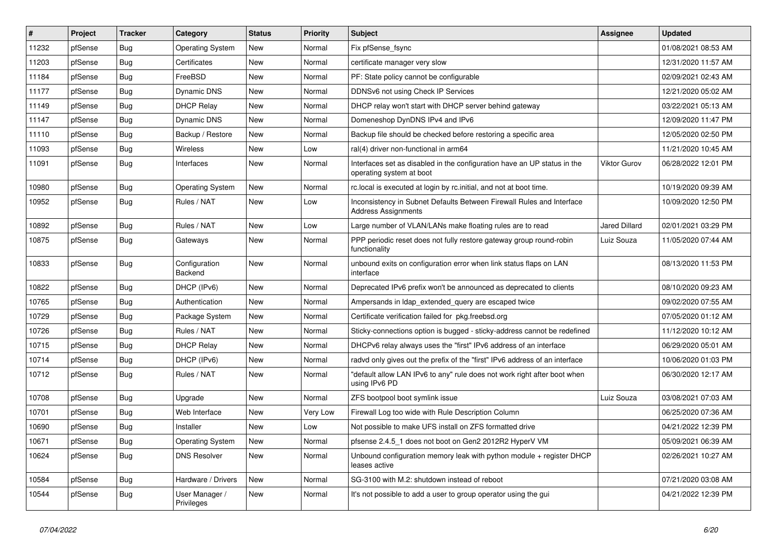| $\vert$ # | Project | <b>Tracker</b> | Category                     | <b>Status</b> | <b>Priority</b> | <b>Subject</b>                                                                                       | <b>Assignee</b>      | <b>Updated</b>      |
|-----------|---------|----------------|------------------------------|---------------|-----------------|------------------------------------------------------------------------------------------------------|----------------------|---------------------|
| 11232     | pfSense | <b>Bug</b>     | <b>Operating System</b>      | New           | Normal          | Fix pfSense fsync                                                                                    |                      | 01/08/2021 08:53 AM |
| 11203     | pfSense | Bug            | Certificates                 | <b>New</b>    | Normal          | certificate manager very slow                                                                        |                      | 12/31/2020 11:57 AM |
| 11184     | pfSense | <b>Bug</b>     | FreeBSD                      | New           | Normal          | PF: State policy cannot be configurable                                                              |                      | 02/09/2021 02:43 AM |
| 11177     | pfSense | <b>Bug</b>     | <b>Dynamic DNS</b>           | <b>New</b>    | Normal          | DDNSv6 not using Check IP Services                                                                   |                      | 12/21/2020 05:02 AM |
| 11149     | pfSense | Bug            | <b>DHCP Relay</b>            | New           | Normal          | DHCP relay won't start with DHCP server behind gateway                                               |                      | 03/22/2021 05:13 AM |
| 11147     | pfSense | <b>Bug</b>     | <b>Dynamic DNS</b>           | New           | Normal          | Domeneshop DynDNS IPv4 and IPv6                                                                      |                      | 12/09/2020 11:47 PM |
| 11110     | pfSense | <b>Bug</b>     | Backup / Restore             | New           | Normal          | Backup file should be checked before restoring a specific area                                       |                      | 12/05/2020 02:50 PM |
| 11093     | pfSense | <b>Bug</b>     | Wireless                     | New           | Low             | ral(4) driver non-functional in arm64                                                                |                      | 11/21/2020 10:45 AM |
| 11091     | pfSense | <b>Bug</b>     | Interfaces                   | New           | Normal          | Interfaces set as disabled in the configuration have an UP status in the<br>operating system at boot | Viktor Gurov         | 06/28/2022 12:01 PM |
| 10980     | pfSense | <b>Bug</b>     | <b>Operating System</b>      | New           | Normal          | rc.local is executed at login by rc.initial, and not at boot time.                                   |                      | 10/19/2020 09:39 AM |
| 10952     | pfSense | <b>Bug</b>     | Rules / NAT                  | New           | Low             | Inconsistency in Subnet Defaults Between Firewall Rules and Interface<br><b>Address Assignments</b>  |                      | 10/09/2020 12:50 PM |
| 10892     | pfSense | <b>Bug</b>     | Rules / NAT                  | <b>New</b>    | Low             | Large number of VLAN/LANs make floating rules are to read                                            | <b>Jared Dillard</b> | 02/01/2021 03:29 PM |
| 10875     | pfSense | Bug            | Gateways                     | New           | Normal          | PPP periodic reset does not fully restore gateway group round-robin<br>functionality                 | Luiz Souza           | 11/05/2020 07:44 AM |
| 10833     | pfSense | Bug            | Configuration<br>Backend     | New           | Normal          | unbound exits on configuration error when link status flaps on LAN<br>interface                      |                      | 08/13/2020 11:53 PM |
| 10822     | pfSense | <b>Bug</b>     | DHCP (IPv6)                  | New           | Normal          | Deprecated IPv6 prefix won't be announced as deprecated to clients                                   |                      | 08/10/2020 09:23 AM |
| 10765     | pfSense | <b>Bug</b>     | Authentication               | <b>New</b>    | Normal          | Ampersands in Idap_extended_query are escaped twice                                                  |                      | 09/02/2020 07:55 AM |
| 10729     | pfSense | <b>Bug</b>     | Package System               | New           | Normal          | Certificate verification failed for pkg.freebsd.org                                                  |                      | 07/05/2020 01:12 AM |
| 10726     | pfSense | <b>Bug</b>     | Rules / NAT                  | <b>New</b>    | Normal          | Sticky-connections option is bugged - sticky-address cannot be redefined                             |                      | 11/12/2020 10:12 AM |
| 10715     | pfSense | <b>Bug</b>     | <b>DHCP Relay</b>            | New           | Normal          | DHCPv6 relay always uses the "first" IPv6 address of an interface                                    |                      | 06/29/2020 05:01 AM |
| 10714     | pfSense | <b>Bug</b>     | DHCP (IPv6)                  | <b>New</b>    | Normal          | radvd only gives out the prefix of the "first" IPv6 address of an interface                          |                      | 10/06/2020 01:03 PM |
| 10712     | pfSense | <b>Bug</b>     | Rules / NAT                  | New           | Normal          | "default allow LAN IPv6 to any" rule does not work right after boot when<br>using IPv6 PD            |                      | 06/30/2020 12:17 AM |
| 10708     | pfSense | <b>Bug</b>     | Upgrade                      | New           | Normal          | ZFS bootpool boot symlink issue                                                                      | Luiz Souza           | 03/08/2021 07:03 AM |
| 10701     | pfSense | <b>Bug</b>     | Web Interface                | New           | Very Low        | Firewall Log too wide with Rule Description Column                                                   |                      | 06/25/2020 07:36 AM |
| 10690     | pfSense | <b>Bug</b>     | Installer                    | New           | Low             | Not possible to make UFS install on ZFS formatted drive                                              |                      | 04/21/2022 12:39 PM |
| 10671     | pfSense | Bug            | <b>Operating System</b>      | New           | Normal          | pfsense 2.4.5 1 does not boot on Gen2 2012R2 HyperV VM                                               |                      | 05/09/2021 06:39 AM |
| 10624     | pfSense | <b>Bug</b>     | <b>DNS Resolver</b>          | New           | Normal          | Unbound configuration memory leak with python module + register DHCP<br>leases active                |                      | 02/26/2021 10:27 AM |
| 10584     | pfSense | <b>Bug</b>     | Hardware / Drivers           | New           | Normal          | SG-3100 with M.2: shutdown instead of reboot                                                         |                      | 07/21/2020 03:08 AM |
| 10544     | pfSense | <b>Bug</b>     | User Manager /<br>Privileges | New           | Normal          | It's not possible to add a user to group operator using the gui                                      |                      | 04/21/2022 12:39 PM |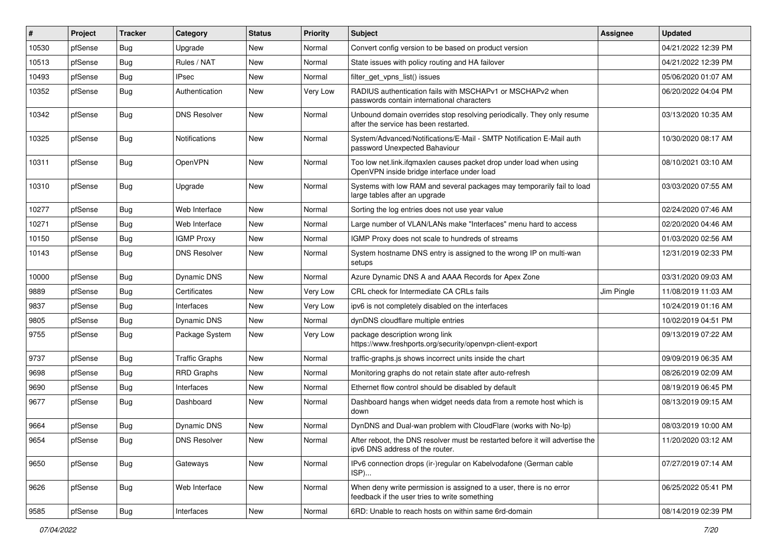| #     | Project | <b>Tracker</b> | Category              | <b>Status</b> | <b>Priority</b> | Subject                                                                                                              | <b>Assignee</b> | <b>Updated</b>      |
|-------|---------|----------------|-----------------------|---------------|-----------------|----------------------------------------------------------------------------------------------------------------------|-----------------|---------------------|
| 10530 | pfSense | <b>Bug</b>     | Upgrade               | New           | Normal          | Convert config version to be based on product version                                                                |                 | 04/21/2022 12:39 PM |
| 10513 | pfSense | Bug            | Rules / NAT           | New           | Normal          | State issues with policy routing and HA failover                                                                     |                 | 04/21/2022 12:39 PM |
| 10493 | pfSense | <b>Bug</b>     | <b>IPsec</b>          | New           | Normal          | filter_get_vpns_list() issues                                                                                        |                 | 05/06/2020 01:07 AM |
| 10352 | pfSense | <b>Bug</b>     | Authentication        | New           | Very Low        | RADIUS authentication fails with MSCHAPv1 or MSCHAPv2 when<br>passwords contain international characters             |                 | 06/20/2022 04:04 PM |
| 10342 | pfSense | Bug            | <b>DNS Resolver</b>   | New           | Normal          | Unbound domain overrides stop resolving periodically. They only resume<br>after the service has been restarted.      |                 | 03/13/2020 10:35 AM |
| 10325 | pfSense | Bug            | <b>Notifications</b>  | New           | Normal          | System/Advanced/Notifications/E-Mail - SMTP Notification E-Mail auth<br>password Unexpected Bahaviour                |                 | 10/30/2020 08:17 AM |
| 10311 | pfSense | <b>Bug</b>     | OpenVPN               | New           | Normal          | Too low net.link.ifqmaxlen causes packet drop under load when using<br>OpenVPN inside bridge interface under load    |                 | 08/10/2021 03:10 AM |
| 10310 | pfSense | Bug            | Upgrade               | New           | Normal          | Systems with low RAM and several packages may temporarily fail to load<br>large tables after an upgrade              |                 | 03/03/2020 07:55 AM |
| 10277 | pfSense | <b>Bug</b>     | Web Interface         | New           | Normal          | Sorting the log entries does not use year value                                                                      |                 | 02/24/2020 07:46 AM |
| 10271 | pfSense | <b>Bug</b>     | Web Interface         | New           | Normal          | Large number of VLAN/LANs make "Interfaces" menu hard to access                                                      |                 | 02/20/2020 04:46 AM |
| 10150 | pfSense | Bug            | <b>IGMP Proxy</b>     | New           | Normal          | IGMP Proxy does not scale to hundreds of streams                                                                     |                 | 01/03/2020 02:56 AM |
| 10143 | pfSense | <b>Bug</b>     | <b>DNS Resolver</b>   | New           | Normal          | System hostname DNS entry is assigned to the wrong IP on multi-wan<br>setups                                         |                 | 12/31/2019 02:33 PM |
| 10000 | pfSense | Bug            | <b>Dynamic DNS</b>    | New           | Normal          | Azure Dynamic DNS A and AAAA Records for Apex Zone                                                                   |                 | 03/31/2020 09:03 AM |
| 9889  | pfSense | <b>Bug</b>     | Certificates          | New           | Very Low        | CRL check for Intermediate CA CRLs fails                                                                             | Jim Pingle      | 11/08/2019 11:03 AM |
| 9837  | pfSense | <b>Bug</b>     | Interfaces            | New           | Very Low        | ipv6 is not completely disabled on the interfaces                                                                    |                 | 10/24/2019 01:16 AM |
| 9805  | pfSense | <b>Bug</b>     | Dynamic DNS           | New           | Normal          | dynDNS cloudflare multiple entries                                                                                   |                 | 10/02/2019 04:51 PM |
| 9755  | pfSense | <b>Bug</b>     | Package System        | New           | Very Low        | package description wrong link<br>https://www.freshports.org/security/openvpn-client-export                          |                 | 09/13/2019 07:22 AM |
| 9737  | pfSense | <b>Bug</b>     | <b>Traffic Graphs</b> | New           | Normal          | traffic-graphs.js shows incorrect units inside the chart                                                             |                 | 09/09/2019 06:35 AM |
| 9698  | pfSense | <b>Bug</b>     | <b>RRD Graphs</b>     | New           | Normal          | Monitoring graphs do not retain state after auto-refresh                                                             |                 | 08/26/2019 02:09 AM |
| 9690  | pfSense | <b>Bug</b>     | Interfaces            | New           | Normal          | Ethernet flow control should be disabled by default                                                                  |                 | 08/19/2019 06:45 PM |
| 9677  | pfSense | <b>Bug</b>     | Dashboard             | New           | Normal          | Dashboard hangs when widget needs data from a remote host which is<br>down                                           |                 | 08/13/2019 09:15 AM |
| 9664  | pfSense | <b>Bug</b>     | <b>Dynamic DNS</b>    | New           | Normal          | DynDNS and Dual-wan problem with CloudFlare (works with No-Ip)                                                       |                 | 08/03/2019 10:00 AM |
| 9654  | pfSense | Bug            | <b>DNS Resolver</b>   | New           | Normal          | After reboot, the DNS resolver must be restarted before it will advertise the<br>ipv6 DNS address of the router.     |                 | 11/20/2020 03:12 AM |
| 9650  | pfSense | <b>Bug</b>     | Gateways              | New           | Normal          | IPv6 connection drops (ir-)regular on Kabelvodafone (German cable<br>ISP)                                            |                 | 07/27/2019 07:14 AM |
| 9626  | pfSense | <b>Bug</b>     | Web Interface         | New           | Normal          | When deny write permission is assigned to a user, there is no error<br>feedback if the user tries to write something |                 | 06/25/2022 05:41 PM |
| 9585  | pfSense | Bug            | Interfaces            | New           | Normal          | 6RD: Unable to reach hosts on within same 6rd-domain                                                                 |                 | 08/14/2019 02:39 PM |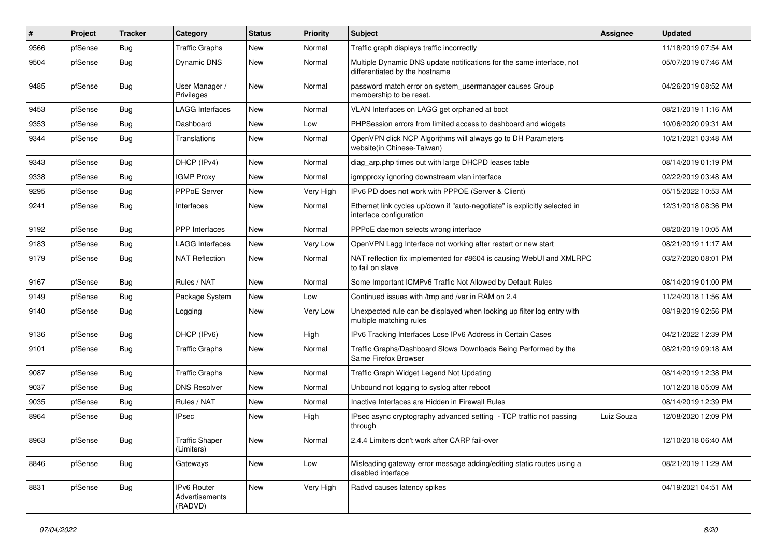| #    | Project | <b>Tracker</b> | Category                                 | <b>Status</b> | <b>Priority</b> | Subject                                                                                                 | Assignee   | <b>Updated</b>      |
|------|---------|----------------|------------------------------------------|---------------|-----------------|---------------------------------------------------------------------------------------------------------|------------|---------------------|
| 9566 | pfSense | <b>Bug</b>     | <b>Traffic Graphs</b>                    | New           | Normal          | Traffic graph displays traffic incorrectly                                                              |            | 11/18/2019 07:54 AM |
| 9504 | pfSense | <b>Bug</b>     | <b>Dynamic DNS</b>                       | New           | Normal          | Multiple Dynamic DNS update notifications for the same interface, not<br>differentiated by the hostname |            | 05/07/2019 07:46 AM |
| 9485 | pfSense | <b>Bug</b>     | User Manager /<br>Privileges             | New           | Normal          | password match error on system_usermanager causes Group<br>membership to be reset.                      |            | 04/26/2019 08:52 AM |
| 9453 | pfSense | <b>Bug</b>     | <b>LAGG Interfaces</b>                   | New           | Normal          | VLAN Interfaces on LAGG get orphaned at boot                                                            |            | 08/21/2019 11:16 AM |
| 9353 | pfSense | <b>Bug</b>     | Dashboard                                | New           | Low             | PHPSession errors from limited access to dashboard and widgets                                          |            | 10/06/2020 09:31 AM |
| 9344 | pfSense | <b>Bug</b>     | Translations                             | New           | Normal          | OpenVPN click NCP Algorithms will always go to DH Parameters<br>website(in Chinese-Taiwan)              |            | 10/21/2021 03:48 AM |
| 9343 | pfSense | <b>Bug</b>     | DHCP (IPv4)                              | New           | Normal          | diag_arp.php times out with large DHCPD leases table                                                    |            | 08/14/2019 01:19 PM |
| 9338 | pfSense | <b>Bug</b>     | <b>IGMP Proxy</b>                        | New           | Normal          | igmpproxy ignoring downstream vlan interface                                                            |            | 02/22/2019 03:48 AM |
| 9295 | pfSense | <b>Bug</b>     | PPPoE Server                             | New           | Very High       | IPv6 PD does not work with PPPOE (Server & Client)                                                      |            | 05/15/2022 10:53 AM |
| 9241 | pfSense | <b>Bug</b>     | Interfaces                               | New           | Normal          | Ethernet link cycles up/down if "auto-negotiate" is explicitly selected in<br>interface configuration   |            | 12/31/2018 08:36 PM |
| 9192 | pfSense | <b>Bug</b>     | <b>PPP</b> Interfaces                    | New           | Normal          | PPPoE daemon selects wrong interface                                                                    |            | 08/20/2019 10:05 AM |
| 9183 | pfSense | Bug            | <b>LAGG Interfaces</b>                   | New           | Very Low        | OpenVPN Lagg Interface not working after restart or new start                                           |            | 08/21/2019 11:17 AM |
| 9179 | pfSense | <b>Bug</b>     | <b>NAT Reflection</b>                    | New           | Normal          | NAT reflection fix implemented for #8604 is causing WebUI and XMLRPC<br>to fail on slave                |            | 03/27/2020 08:01 PM |
| 9167 | pfSense | Bug            | Rules / NAT                              | <b>New</b>    | Normal          | Some Important ICMPv6 Traffic Not Allowed by Default Rules                                              |            | 08/14/2019 01:00 PM |
| 9149 | pfSense | Bug            | Package System                           | New           | Low             | Continued issues with /tmp and /var in RAM on 2.4                                                       |            | 11/24/2018 11:56 AM |
| 9140 | pfSense | Bug            | Logging                                  | New           | Very Low        | Unexpected rule can be displayed when looking up filter log entry with<br>multiple matching rules       |            | 08/19/2019 02:56 PM |
| 9136 | pfSense | Bug            | DHCP (IPv6)                              | New           | High            | IPv6 Tracking Interfaces Lose IPv6 Address in Certain Cases                                             |            | 04/21/2022 12:39 PM |
| 9101 | pfSense | Bug            | <b>Traffic Graphs</b>                    | New           | Normal          | Traffic Graphs/Dashboard Slows Downloads Being Performed by the<br>Same Firefox Browser                 |            | 08/21/2019 09:18 AM |
| 9087 | pfSense | Bug            | <b>Traffic Graphs</b>                    | New           | Normal          | Traffic Graph Widget Legend Not Updating                                                                |            | 08/14/2019 12:38 PM |
| 9037 | pfSense | Bug            | <b>DNS Resolver</b>                      | <b>New</b>    | Normal          | Unbound not logging to syslog after reboot                                                              |            | 10/12/2018 05:09 AM |
| 9035 | pfSense | <b>Bug</b>     | Rules / NAT                              | New           | Normal          | Inactive Interfaces are Hidden in Firewall Rules                                                        |            | 08/14/2019 12:39 PM |
| 8964 | pfSense | <b>Bug</b>     | <b>IPsec</b>                             | New           | High            | IPsec async cryptography advanced setting - TCP traffic not passing<br>through                          | Luiz Souza | 12/08/2020 12:09 PM |
| 8963 | pfSense | Bug            | <b>Traffic Shaper</b><br>(Limiters)      | New           | Normal          | 2.4.4 Limiters don't work after CARP fail-over                                                          |            | 12/10/2018 06:40 AM |
| 8846 | pfSense | <b>Bug</b>     | Gateways                                 | New           | Low             | Misleading gateway error message adding/editing static routes using a<br>disabled interface             |            | 08/21/2019 11:29 AM |
| 8831 | pfSense | <b>Bug</b>     | IPv6 Router<br>Advertisements<br>(RADVD) | New           | Very High       | Radvd causes latency spikes                                                                             |            | 04/19/2021 04:51 AM |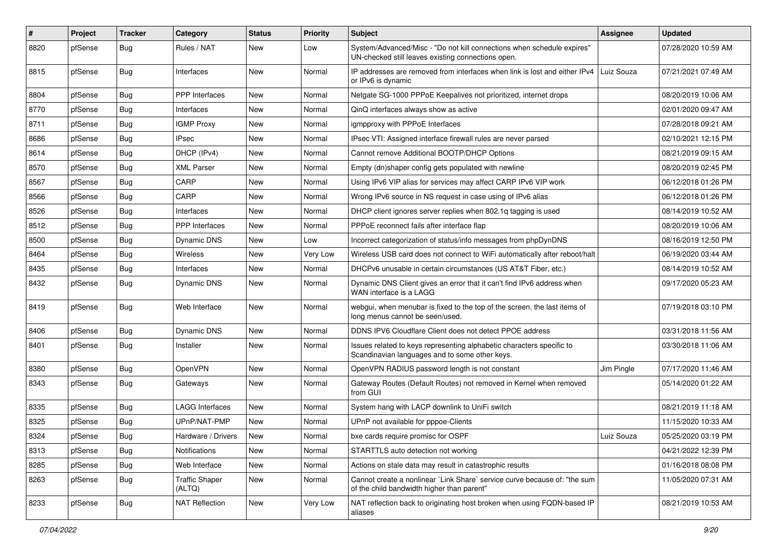| $\vert$ # | Project | <b>Tracker</b> | Category                        | <b>Status</b> | <b>Priority</b> | Subject                                                                                                                      | <b>Assignee</b> | <b>Updated</b>      |
|-----------|---------|----------------|---------------------------------|---------------|-----------------|------------------------------------------------------------------------------------------------------------------------------|-----------------|---------------------|
| 8820      | pfSense | <b>Bug</b>     | Rules / NAT                     | New           | Low             | System/Advanced/Misc - "Do not kill connections when schedule expires"<br>UN-checked still leaves existing connections open. |                 | 07/28/2020 10:59 AM |
| 8815      | pfSense | Bug            | Interfaces                      | New           | Normal          | IP addresses are removed from interfaces when link is lost and either IPv4<br>or IPv6 is dynamic                             | Luiz Souza      | 07/21/2021 07:49 AM |
| 8804      | pfSense | Bug            | <b>PPP</b> Interfaces           | <b>New</b>    | Normal          | Netgate SG-1000 PPPoE Keepalives not prioritized, internet drops                                                             |                 | 08/20/2019 10:06 AM |
| 8770      | pfSense | <b>Bug</b>     | Interfaces                      | New           | Normal          | QinQ interfaces always show as active                                                                                        |                 | 02/01/2020 09:47 AM |
| 8711      | pfSense | <b>Bug</b>     | <b>IGMP Proxy</b>               | New           | Normal          | igmpproxy with PPPoE Interfaces                                                                                              |                 | 07/28/2018 09:21 AM |
| 8686      | pfSense | Bug            | <b>IPsec</b>                    | <b>New</b>    | Normal          | IPsec VTI: Assigned interface firewall rules are never parsed                                                                |                 | 02/10/2021 12:15 PM |
| 8614      | pfSense | <b>Bug</b>     | DHCP (IPv4)                     | New           | Normal          | Cannot remove Additional BOOTP/DHCP Options                                                                                  |                 | 08/21/2019 09:15 AM |
| 8570      | pfSense | Bug            | <b>XML Parser</b>               | <b>New</b>    | Normal          | Empty (dn)shaper config gets populated with newline                                                                          |                 | 08/20/2019 02:45 PM |
| 8567      | pfSense | Bug            | CARP                            | New           | Normal          | Using IPv6 VIP alias for services may affect CARP IPv6 VIP work                                                              |                 | 06/12/2018 01:26 PM |
| 8566      | pfSense | <b>Bug</b>     | CARP                            | New           | Normal          | Wrong IPv6 source in NS request in case using of IPv6 alias                                                                  |                 | 06/12/2018 01:26 PM |
| 8526      | pfSense | Bug            | Interfaces                      | New           | Normal          | DHCP client ignores server replies when 802.1q tagging is used                                                               |                 | 08/14/2019 10:52 AM |
| 8512      | pfSense | <b>Bug</b>     | <b>PPP</b> Interfaces           | New           | Normal          | PPPoE reconnect fails after interface flap                                                                                   |                 | 08/20/2019 10:06 AM |
| 8500      | pfSense | Bug            | Dynamic DNS                     | New           | Low             | Incorrect categorization of status/info messages from phpDynDNS                                                              |                 | 08/16/2019 12:50 PM |
| 8464      | pfSense | Bug            | Wireless                        | New           | Very Low        | Wireless USB card does not connect to WiFi automatically after reboot/halt                                                   |                 | 06/19/2020 03:44 AM |
| 8435      | pfSense | <b>Bug</b>     | Interfaces                      | New           | Normal          | DHCPv6 unusable in certain circumstances (US AT&T Fiber, etc.)                                                               |                 | 08/14/2019 10:52 AM |
| 8432      | pfSense | <b>Bug</b>     | Dynamic DNS                     | New           | Normal          | Dynamic DNS Client gives an error that it can't find IPv6 address when<br>WAN interface is a LAGG                            |                 | 09/17/2020 05:23 AM |
| 8419      | pfSense | <b>Bug</b>     | Web Interface                   | <b>New</b>    | Normal          | webgui, when menubar is fixed to the top of the screen, the last items of<br>long menus cannot be seen/used.                 |                 | 07/19/2018 03:10 PM |
| 8406      | pfSense | <b>Bug</b>     | Dynamic DNS                     | <b>New</b>    | Normal          | DDNS IPV6 Cloudflare Client does not detect PPOE address                                                                     |                 | 03/31/2018 11:56 AM |
| 8401      | pfSense | <b>Bug</b>     | Installer                       | New           | Normal          | Issues related to keys representing alphabetic characters specific to<br>Scandinavian languages and to some other keys.      |                 | 03/30/2018 11:06 AM |
| 8380      | pfSense | Bug            | OpenVPN                         | New           | Normal          | OpenVPN RADIUS password length is not constant                                                                               | Jim Pingle      | 07/17/2020 11:46 AM |
| 8343      | pfSense | <b>Bug</b>     | Gateways                        | New           | Normal          | Gateway Routes (Default Routes) not removed in Kernel when removed<br>from GUI                                               |                 | 05/14/2020 01:22 AM |
| 8335      | pfSense | Bug            | <b>LAGG Interfaces</b>          | New           | Normal          | System hang with LACP downlink to UniFi switch                                                                               |                 | 08/21/2019 11:18 AM |
| 8325      | pfSense | Bug            | UPnP/NAT-PMP                    | New           | Normal          | UPnP not available for pppoe-Clients                                                                                         |                 | 11/15/2020 10:33 AM |
| 8324      | pfSense | i Bug          | Hardware / Drivers              | New           | Normal          | bxe cards require promisc for OSPF                                                                                           | Luiz Souza      | 05/25/2020 03:19 PM |
| 8313      | pfSense | Bug            | Notifications                   | New           | Normal          | STARTTLS auto detection not working                                                                                          |                 | 04/21/2022 12:39 PM |
| 8285      | pfSense | <b>Bug</b>     | Web Interface                   | New           | Normal          | Actions on stale data may result in catastrophic results                                                                     |                 | 01/16/2018 08:08 PM |
| 8263      | pfSense | <b>Bug</b>     | <b>Traffic Shaper</b><br>(ALTQ) | New           | Normal          | Cannot create a nonlinear `Link Share` service curve because of: "the sum<br>of the child bandwidth higher than parent"      |                 | 11/05/2020 07:31 AM |
| 8233      | pfSense | Bug            | <b>NAT Reflection</b>           | New           | Very Low        | NAT reflection back to originating host broken when using FQDN-based IP<br>aliases                                           |                 | 08/21/2019 10:53 AM |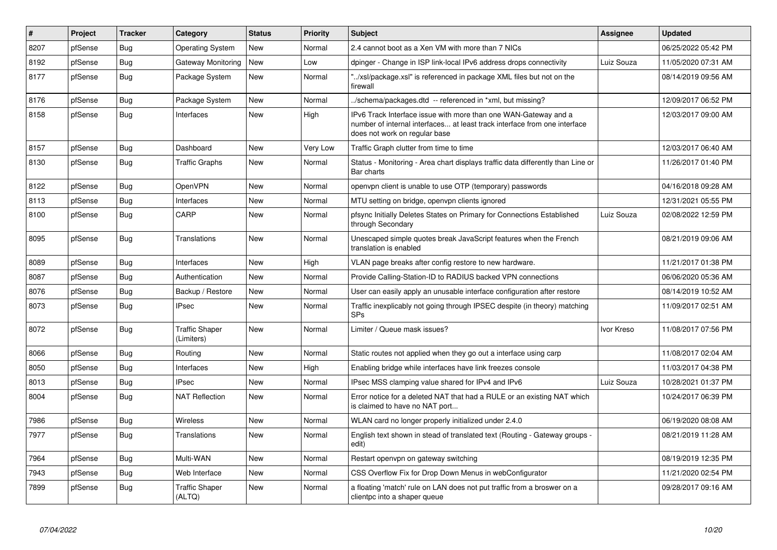| $\vert$ # | Project | <b>Tracker</b> | Category                            | <b>Status</b> | <b>Priority</b> | <b>Subject</b>                                                                                                                                                                | <b>Assignee</b> | <b>Updated</b>      |
|-----------|---------|----------------|-------------------------------------|---------------|-----------------|-------------------------------------------------------------------------------------------------------------------------------------------------------------------------------|-----------------|---------------------|
| 8207      | pfSense | Bug            | <b>Operating System</b>             | New           | Normal          | 2.4 cannot boot as a Xen VM with more than 7 NICs                                                                                                                             |                 | 06/25/2022 05:42 PM |
| 8192      | pfSense | <b>Bug</b>     | Gateway Monitoring                  | <b>New</b>    | Low             | dpinger - Change in ISP link-local IPv6 address drops connectivity                                                                                                            | Luiz Souza      | 11/05/2020 07:31 AM |
| 8177      | pfSense | Bug            | Package System                      | New           | Normal          | '/xsl/package.xsl" is referenced in package XML files but not on the<br>firewall                                                                                              |                 | 08/14/2019 09:56 AM |
| 8176      | pfSense | <b>Bug</b>     | Package System                      | <b>New</b>    | Normal          | /schema/packages.dtd -- referenced in *xml, but missing?                                                                                                                      |                 | 12/09/2017 06:52 PM |
| 8158      | pfSense | <b>Bug</b>     | Interfaces                          | New           | High            | IPv6 Track Interface issue with more than one WAN-Gateway and a<br>number of internal interfaces at least track interface from one interface<br>does not work on regular base |                 | 12/03/2017 09:00 AM |
| 8157      | pfSense | <b>Bug</b>     | Dashboard                           | <b>New</b>    | Very Low        | Traffic Graph clutter from time to time                                                                                                                                       |                 | 12/03/2017 06:40 AM |
| 8130      | pfSense | <b>Bug</b>     | <b>Traffic Graphs</b>               | New           | Normal          | Status - Monitoring - Area chart displays traffic data differently than Line or<br>Bar charts                                                                                 |                 | 11/26/2017 01:40 PM |
| 8122      | pfSense | Bug            | OpenVPN                             | New           | Normal          | openypn client is unable to use OTP (temporary) passwords                                                                                                                     |                 | 04/16/2018 09:28 AM |
| 8113      | pfSense | <b>Bug</b>     | Interfaces                          | New           | Normal          | MTU setting on bridge, openvpn clients ignored                                                                                                                                |                 | 12/31/2021 05:55 PM |
| 8100      | pfSense | <b>Bug</b>     | CARP                                | <b>New</b>    | Normal          | pfsync Initially Deletes States on Primary for Connections Established<br>through Secondary                                                                                   | Luiz Souza      | 02/08/2022 12:59 PM |
| 8095      | pfSense | Bug            | Translations                        | New           | Normal          | Unescaped simple quotes break JavaScript features when the French<br>translation is enabled                                                                                   |                 | 08/21/2019 09:06 AM |
| 8089      | pfSense | <b>Bug</b>     | Interfaces                          | New           | High            | VLAN page breaks after config restore to new hardware.                                                                                                                        |                 | 11/21/2017 01:38 PM |
| 8087      | pfSense | <b>Bug</b>     | Authentication                      | New           | Normal          | Provide Calling-Station-ID to RADIUS backed VPN connections                                                                                                                   |                 | 06/06/2020 05:36 AM |
| 8076      | pfSense | <b>Bug</b>     | Backup / Restore                    | <b>New</b>    | Normal          | User can easily apply an unusable interface configuration after restore                                                                                                       |                 | 08/14/2019 10:52 AM |
| 8073      | pfSense | Bug            | <b>IPsec</b>                        | New           | Normal          | Traffic inexplicably not going through IPSEC despite (in theory) matching<br><b>SPs</b>                                                                                       |                 | 11/09/2017 02:51 AM |
| 8072      | pfSense | Bug            | <b>Traffic Shaper</b><br>(Limiters) | New           | Normal          | Limiter / Queue mask issues?                                                                                                                                                  | Ivor Kreso      | 11/08/2017 07:56 PM |
| 8066      | pfSense | <b>Bug</b>     | Routing                             | <b>New</b>    | Normal          | Static routes not applied when they go out a interface using carp                                                                                                             |                 | 11/08/2017 02:04 AM |
| 8050      | pfSense | Bug            | Interfaces                          | <b>New</b>    | High            | Enabling bridge while interfaces have link freezes console                                                                                                                    |                 | 11/03/2017 04:38 PM |
| 8013      | pfSense | Bug            | <b>IPsec</b>                        | <b>New</b>    | Normal          | IPsec MSS clamping value shared for IPv4 and IPv6                                                                                                                             | Luiz Souza      | 10/28/2021 01:37 PM |
| 8004      | pfSense | <b>Bug</b>     | <b>NAT Reflection</b>               | <b>New</b>    | Normal          | Error notice for a deleted NAT that had a RULE or an existing NAT which<br>is claimed to have no NAT port                                                                     |                 | 10/24/2017 06:39 PM |
| 7986      | pfSense | Bug            | <b>Wireless</b>                     | New           | Normal          | WLAN card no longer properly initialized under 2.4.0                                                                                                                          |                 | 06/19/2020 08:08 AM |
| 7977      | pfSense | <b>Bug</b>     | Translations                        | New           | Normal          | English text shown in stead of translated text (Routing - Gateway groups -<br>edit)                                                                                           |                 | 08/21/2019 11:28 AM |
| 7964      | pfSense | Bug            | Multi-WAN                           | New           | Normal          | Restart openvpn on gateway switching                                                                                                                                          |                 | 08/19/2019 12:35 PM |
| 7943      | pfSense | <b>Bug</b>     | Web Interface                       | New           | Normal          | CSS Overflow Fix for Drop Down Menus in webConfigurator                                                                                                                       |                 | 11/21/2020 02:54 PM |
| 7899      | pfSense | <b>Bug</b>     | <b>Traffic Shaper</b><br>(ALTQ)     | New           | Normal          | a floating 'match' rule on LAN does not put traffic from a broswer on a<br>clientpc into a shaper queue                                                                       |                 | 09/28/2017 09:16 AM |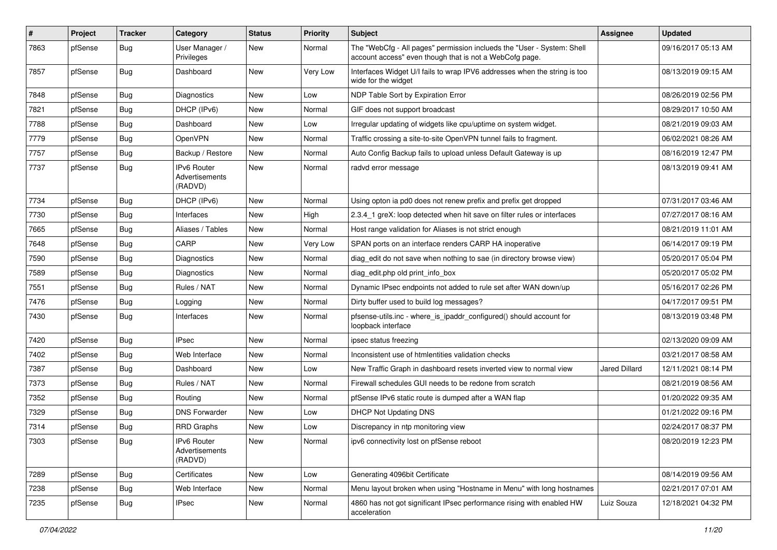| $\vert$ # | Project | <b>Tracker</b> | Category                                        | <b>Status</b> | <b>Priority</b> | Subject                                                                                                                           | <b>Assignee</b>      | <b>Updated</b>      |
|-----------|---------|----------------|-------------------------------------------------|---------------|-----------------|-----------------------------------------------------------------------------------------------------------------------------------|----------------------|---------------------|
| 7863      | pfSense | <b>Bug</b>     | User Manager /<br>Privileges                    | New           | Normal          | The "WebCfg - All pages" permission inclueds the "User - System: Shell<br>account access" even though that is not a WebCofg page. |                      | 09/16/2017 05:13 AM |
| 7857      | pfSense | <b>Bug</b>     | Dashboard                                       | New           | Very Low        | Interfaces Widget U/I fails to wrap IPV6 addresses when the string is too<br>wide for the widget                                  |                      | 08/13/2019 09:15 AM |
| 7848      | pfSense | Bug            | <b>Diagnostics</b>                              | <b>New</b>    | Low             | NDP Table Sort by Expiration Error                                                                                                |                      | 08/26/2019 02:56 PM |
| 7821      | pfSense | <b>Bug</b>     | DHCP (IPv6)                                     | New           | Normal          | GIF does not support broadcast                                                                                                    |                      | 08/29/2017 10:50 AM |
| 7788      | pfSense | Bug            | Dashboard                                       | New           | Low             | Irregular updating of widgets like cpu/uptime on system widget.                                                                   |                      | 08/21/2019 09:03 AM |
| 7779      | pfSense | Bug            | OpenVPN                                         | New           | Normal          | Traffic crossing a site-to-site OpenVPN tunnel fails to fragment.                                                                 |                      | 06/02/2021 08:26 AM |
| 7757      | pfSense | <b>Bug</b>     | Backup / Restore                                | New           | Normal          | Auto Config Backup fails to upload unless Default Gateway is up                                                                   |                      | 08/16/2019 12:47 PM |
| 7737      | pfSense | <b>Bug</b>     | <b>IPv6 Router</b><br>Advertisements<br>(RADVD) | New           | Normal          | radvd error message                                                                                                               |                      | 08/13/2019 09:41 AM |
| 7734      | pfSense | Bug            | DHCP (IPv6)                                     | <b>New</b>    | Normal          | Using opton ia pd0 does not renew prefix and prefix get dropped                                                                   |                      | 07/31/2017 03:46 AM |
| 7730      | pfSense | Bug            | Interfaces                                      | New           | High            | 2.3.4 1 greX: loop detected when hit save on filter rules or interfaces                                                           |                      | 07/27/2017 08:16 AM |
| 7665      | pfSense | <b>Bug</b>     | Aliases / Tables                                | New           | Normal          | Host range validation for Aliases is not strict enough                                                                            |                      | 08/21/2019 11:01 AM |
| 7648      | pfSense | <b>Bug</b>     | CARP                                            | <b>New</b>    | Very Low        | SPAN ports on an interface renders CARP HA inoperative                                                                            |                      | 06/14/2017 09:19 PM |
| 7590      | pfSense | <b>Bug</b>     | <b>Diagnostics</b>                              | New           | Normal          | diag edit do not save when nothing to sae (in directory browse view)                                                              |                      | 05/20/2017 05:04 PM |
| 7589      | pfSense | Bug            | Diagnostics                                     | New           | Normal          | diag edit.php old print info box                                                                                                  |                      | 05/20/2017 05:02 PM |
| 7551      | pfSense | <b>Bug</b>     | Rules / NAT                                     | New           | Normal          | Dynamic IPsec endpoints not added to rule set after WAN down/up                                                                   |                      | 05/16/2017 02:26 PM |
| 7476      | pfSense | <b>Bug</b>     | Logging                                         | New           | Normal          | Dirty buffer used to build log messages?                                                                                          |                      | 04/17/2017 09:51 PM |
| 7430      | pfSense | <b>Bug</b>     | Interfaces                                      | New           | Normal          | pfsense-utils.inc - where_is_ipaddr_configured() should account for<br>loopback interface                                         |                      | 08/13/2019 03:48 PM |
| 7420      | pfSense | Bug            | <b>IPsec</b>                                    | <b>New</b>    | Normal          | ipsec status freezing                                                                                                             |                      | 02/13/2020 09:09 AM |
| 7402      | pfSense | <b>Bug</b>     | Web Interface                                   | <b>New</b>    | Normal          | Inconsistent use of htmlentities validation checks                                                                                |                      | 03/21/2017 08:58 AM |
| 7387      | pfSense | <b>Bug</b>     | Dashboard                                       | New           | Low             | New Traffic Graph in dashboard resets inverted view to normal view                                                                | <b>Jared Dillard</b> | 12/11/2021 08:14 PM |
| 7373      | pfSense | Bug            | Rules / NAT                                     | <b>New</b>    | Normal          | Firewall schedules GUI needs to be redone from scratch                                                                            |                      | 08/21/2019 08:56 AM |
| 7352      | pfSense | Bug            | Routing                                         | New           | Normal          | pfSense IPv6 static route is dumped after a WAN flap                                                                              |                      | 01/20/2022 09:35 AM |
| 7329      | pfSense | Bug            | <b>DNS Forwarder</b>                            | New           | Low             | <b>DHCP Not Updating DNS</b>                                                                                                      |                      | 01/21/2022 09:16 PM |
| 7314      | pfSense | Bug            | <b>RRD Graphs</b>                               | <b>New</b>    | Low             | Discrepancy in ntp monitoring view                                                                                                |                      | 02/24/2017 08:37 PM |
| 7303      | pfSense | Bug            | <b>IPv6 Router</b><br>Advertisements<br>(RADVD) | New           | Normal          | ipv6 connectivity lost on pfSense reboot                                                                                          |                      | 08/20/2019 12:23 PM |
| 7289      | pfSense | <b>Bug</b>     | Certificates                                    | New           | Low             | Generating 4096bit Certificate                                                                                                    |                      | 08/14/2019 09:56 AM |
| 7238      | pfSense | <b>Bug</b>     | Web Interface                                   | New           | Normal          | Menu layout broken when using "Hostname in Menu" with long hostnames                                                              |                      | 02/21/2017 07:01 AM |
| 7235      | pfSense | <b>Bug</b>     | <b>IPsec</b>                                    | New           | Normal          | 4860 has not got significant IPsec performance rising with enabled HW<br>acceleration                                             | Luiz Souza           | 12/18/2021 04:32 PM |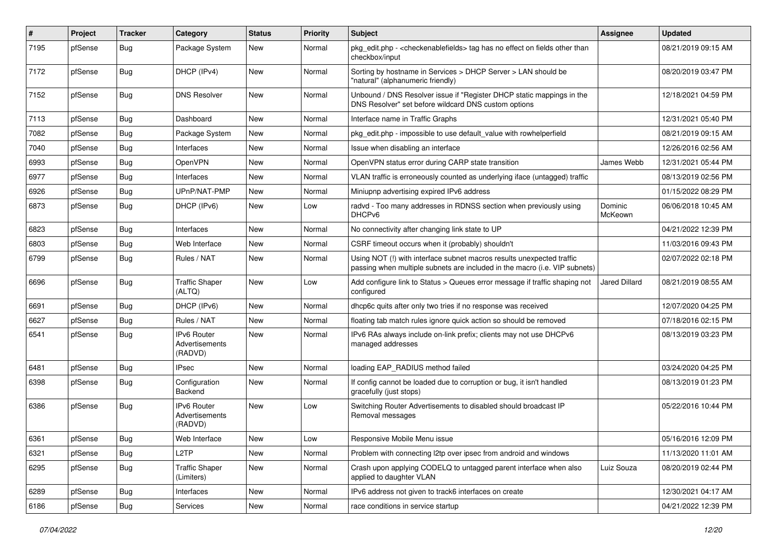| $\pmb{\#}$ | Project | <b>Tracker</b> | Category                                 | <b>Status</b> | <b>Priority</b> | <b>Subject</b>                                                                                                                                      | <b>Assignee</b>    | <b>Updated</b>      |
|------------|---------|----------------|------------------------------------------|---------------|-----------------|-----------------------------------------------------------------------------------------------------------------------------------------------------|--------------------|---------------------|
| 7195       | pfSense | Bug            | Package System                           | New           | Normal          | pkg_edit.php - <checkenablefields> tag has no effect on fields other than<br/>checkbox/input</checkenablefields>                                    |                    | 08/21/2019 09:15 AM |
| 7172       | pfSense | Bug            | DHCP (IPv4)                              | New           | Normal          | Sorting by hostname in Services > DHCP Server > LAN should be<br>"natural" (alphanumeric friendly)                                                  |                    | 08/20/2019 03:47 PM |
| 7152       | pfSense | <b>Bug</b>     | <b>DNS Resolver</b>                      | New           | Normal          | Unbound / DNS Resolver issue if "Register DHCP static mappings in the<br>DNS Resolver" set before wildcard DNS custom options                       |                    | 12/18/2021 04:59 PM |
| 7113       | pfSense | Bug            | Dashboard                                | New           | Normal          | Interface name in Traffic Graphs                                                                                                                    |                    | 12/31/2021 05:40 PM |
| 7082       | pfSense | <b>Bug</b>     | Package System                           | New           | Normal          | pkg_edit.php - impossible to use default_value with rowhelperfield                                                                                  |                    | 08/21/2019 09:15 AM |
| 7040       | pfSense | Bug            | Interfaces                               | New           | Normal          | Issue when disabling an interface                                                                                                                   |                    | 12/26/2016 02:56 AM |
| 6993       | pfSense | <b>Bug</b>     | OpenVPN                                  | New           | Normal          | OpenVPN status error during CARP state transition                                                                                                   | James Webb         | 12/31/2021 05:44 PM |
| 6977       | pfSense | Bug            | Interfaces                               | New           | Normal          | VLAN traffic is erroneously counted as underlying iface (untagged) traffic                                                                          |                    | 08/13/2019 02:56 PM |
| 6926       | pfSense | <b>Bug</b>     | UPnP/NAT-PMP                             | New           | Normal          | Miniupnp advertising expired IPv6 address                                                                                                           |                    | 01/15/2022 08:29 PM |
| 6873       | pfSense | <b>Bug</b>     | DHCP (IPv6)                              | New           | Low             | radvd - Too many addresses in RDNSS section when previously using<br>DHCP <sub>v6</sub>                                                             | Dominic<br>McKeown | 06/06/2018 10:45 AM |
| 6823       | pfSense | <b>Bug</b>     | Interfaces                               | New           | Normal          | No connectivity after changing link state to UP                                                                                                     |                    | 04/21/2022 12:39 PM |
| 6803       | pfSense | <b>Bug</b>     | Web Interface                            | New           | Normal          | CSRF timeout occurs when it (probably) shouldn't                                                                                                    |                    | 11/03/2016 09:43 PM |
| 6799       | pfSense | Bug            | Rules / NAT                              | New           | Normal          | Using NOT (!) with interface subnet macros results unexpected traffic<br>passing when multiple subnets are included in the macro (i.e. VIP subnets) |                    | 02/07/2022 02:18 PM |
| 6696       | pfSense | Bug            | <b>Traffic Shaper</b><br>(ALTQ)          | New           | Low             | Add configure link to Status > Queues error message if traffic shaping not<br>configured                                                            | Jared Dillard      | 08/21/2019 08:55 AM |
| 6691       | pfSense | <b>Bug</b>     | DHCP (IPv6)                              | New           | Normal          | dhcp6c quits after only two tries if no response was received                                                                                       |                    | 12/07/2020 04:25 PM |
| 6627       | pfSense | Bug            | Rules / NAT                              | New           | Normal          | floating tab match rules ignore quick action so should be removed                                                                                   |                    | 07/18/2016 02:15 PM |
| 6541       | pfSense | Bug            | IPv6 Router<br>Advertisements<br>(RADVD) | New           | Normal          | IPv6 RAs always include on-link prefix; clients may not use DHCPv6<br>managed addresses                                                             |                    | 08/13/2019 03:23 PM |
| 6481       | pfSense | <b>Bug</b>     | <b>IPsec</b>                             | New           | Normal          | loading EAP_RADIUS method failed                                                                                                                    |                    | 03/24/2020 04:25 PM |
| 6398       | pfSense | <b>Bug</b>     | Configuration<br>Backend                 | New           | Normal          | If config cannot be loaded due to corruption or bug, it isn't handled<br>gracefully (just stops)                                                    |                    | 08/13/2019 01:23 PM |
| 6386       | pfSense | Bug            | IPv6 Router<br>Advertisements<br>(RADVD) | New           | Low             | Switching Router Advertisements to disabled should broadcast IP<br>Removal messages                                                                 |                    | 05/22/2016 10:44 PM |
| 6361       | pfSense | <b>Bug</b>     | Web Interface                            | New           | Low             | Responsive Mobile Menu issue                                                                                                                        |                    | 05/16/2016 12:09 PM |
| 6321       | pfSense | Bug            | L <sub>2</sub> TP                        | New           | Normal          | Problem with connecting I2tp over ipsec from android and windows                                                                                    |                    | 11/13/2020 11:01 AM |
| 6295       | pfSense | Bug            | <b>Traffic Shaper</b><br>(Limiters)      | New           | Normal          | Crash upon applying CODELQ to untagged parent interface when also<br>applied to daughter VLAN                                                       | Luiz Souza         | 08/20/2019 02:44 PM |
| 6289       | pfSense | <b>Bug</b>     | Interfaces                               | New           | Normal          | IPv6 address not given to track6 interfaces on create                                                                                               |                    | 12/30/2021 04:17 AM |
| 6186       | pfSense | <b>Bug</b>     | Services                                 | New           | Normal          | race conditions in service startup                                                                                                                  |                    | 04/21/2022 12:39 PM |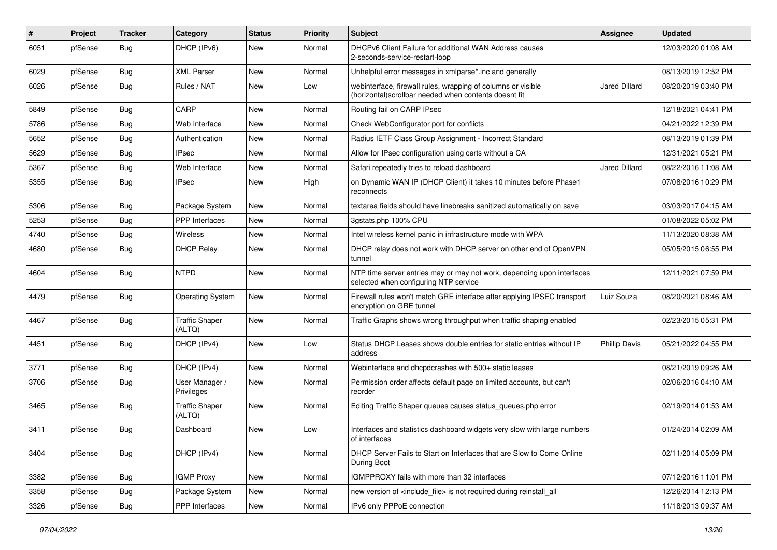| $\pmb{\#}$ | Project | <b>Tracker</b> | Category                        | <b>Status</b> | <b>Priority</b> | <b>Subject</b>                                                                                                         | <b>Assignee</b>      | <b>Updated</b>      |
|------------|---------|----------------|---------------------------------|---------------|-----------------|------------------------------------------------------------------------------------------------------------------------|----------------------|---------------------|
| 6051       | pfSense | <b>Bug</b>     | DHCP (IPv6)                     | New           | Normal          | DHCPv6 Client Failure for additional WAN Address causes<br>2-seconds-service-restart-loop                              |                      | 12/03/2020 01:08 AM |
| 6029       | pfSense | Bug            | <b>XML Parser</b>               | New           | Normal          | Unhelpful error messages in xmlparse*.inc and generally                                                                |                      | 08/13/2019 12:52 PM |
| 6026       | pfSense | Bug            | Rules / NAT                     | New           | Low             | webinterface, firewall rules, wrapping of columns or visible<br>(horizontal) scrollbar needed when contents doesnt fit | <b>Jared Dillard</b> | 08/20/2019 03:40 PM |
| 5849       | pfSense | <b>Bug</b>     | CARP                            | New           | Normal          | Routing fail on CARP IPsec                                                                                             |                      | 12/18/2021 04:41 PM |
| 5786       | pfSense | <b>Bug</b>     | Web Interface                   | New           | Normal          | Check WebConfigurator port for conflicts                                                                               |                      | 04/21/2022 12:39 PM |
| 5652       | pfSense | <b>Bug</b>     | Authentication                  | <b>New</b>    | Normal          | Radius IETF Class Group Assignment - Incorrect Standard                                                                |                      | 08/13/2019 01:39 PM |
| 5629       | pfSense | <b>Bug</b>     | <b>IPsec</b>                    | New           | Normal          | Allow for IPsec configuration using certs without a CA                                                                 |                      | 12/31/2021 05:21 PM |
| 5367       | pfSense | <b>Bug</b>     | Web Interface                   | <b>New</b>    | Normal          | Safari repeatedly tries to reload dashboard                                                                            | <b>Jared Dillard</b> | 08/22/2016 11:08 AM |
| 5355       | pfSense | Bug            | <b>IPsec</b>                    | New           | High            | on Dynamic WAN IP (DHCP Client) it takes 10 minutes before Phase1<br>reconnects                                        |                      | 07/08/2016 10:29 PM |
| 5306       | pfSense | <b>Bug</b>     | Package System                  | New           | Normal          | textarea fields should have linebreaks sanitized automatically on save                                                 |                      | 03/03/2017 04:15 AM |
| 5253       | pfSense | Bug            | <b>PPP</b> Interfaces           | New           | Normal          | 3gstats.php 100% CPU                                                                                                   |                      | 01/08/2022 05:02 PM |
| 4740       | pfSense | <b>Bug</b>     | Wireless                        | New           | Normal          | Intel wireless kernel panic in infrastructure mode with WPA                                                            |                      | 11/13/2020 08:38 AM |
| 4680       | pfSense | <b>Bug</b>     | <b>DHCP Relay</b>               | New           | Normal          | DHCP relay does not work with DHCP server on other end of OpenVPN<br>tunnel                                            |                      | 05/05/2015 06:55 PM |
| 4604       | pfSense | <b>Bug</b>     | <b>NTPD</b>                     | New           | Normal          | NTP time server entries may or may not work, depending upon interfaces<br>selected when configuring NTP service        |                      | 12/11/2021 07:59 PM |
| 4479       | pfSense | <b>Bug</b>     | <b>Operating System</b>         | New           | Normal          | Firewall rules won't match GRE interface after applying IPSEC transport<br>encryption on GRE tunnel                    | Luiz Souza           | 08/20/2021 08:46 AM |
| 4467       | pfSense | <b>Bug</b>     | <b>Traffic Shaper</b><br>(ALTQ) | New           | Normal          | Traffic Graphs shows wrong throughput when traffic shaping enabled                                                     |                      | 02/23/2015 05:31 PM |
| 4451       | pfSense | <b>Bug</b>     | DHCP (IPv4)                     | New           | Low             | Status DHCP Leases shows double entries for static entries without IP<br>address                                       | <b>Phillip Davis</b> | 05/21/2022 04:55 PM |
| 3771       | pfSense | <b>Bug</b>     | DHCP (IPv4)                     | New           | Normal          | Webinterface and dhcpdcrashes with 500+ static leases                                                                  |                      | 08/21/2019 09:26 AM |
| 3706       | pfSense | <b>Bug</b>     | User Manager /<br>Privileges    | New           | Normal          | Permission order affects default page on limited accounts, but can't<br>reorder                                        |                      | 02/06/2016 04:10 AM |
| 3465       | pfSense | <b>Bug</b>     | <b>Traffic Shaper</b><br>(ALTQ) | New           | Normal          | Editing Traffic Shaper queues causes status_queues.php error                                                           |                      | 02/19/2014 01:53 AM |
| 3411       | pfSense | <b>Bug</b>     | Dashboard                       | New           | Low             | Interfaces and statistics dashboard widgets very slow with large numbers<br>of interfaces                              |                      | 01/24/2014 02:09 AM |
| 3404       | pfSense | Bug            | DHCP (IPv4)                     | New           | Normal          | DHCP Server Fails to Start on Interfaces that are Slow to Come Online<br>During Boot                                   |                      | 02/11/2014 05:09 PM |
| 3382       | pfSense | <b>Bug</b>     | <b>IGMP Proxy</b>               | New           | Normal          | IGMPPROXY fails with more than 32 interfaces                                                                           |                      | 07/12/2016 11:01 PM |
| 3358       | pfSense | <b>Bug</b>     | Package System                  | New           | Normal          | new version of <include_file> is not required during reinstall_all</include_file>                                      |                      | 12/26/2014 12:13 PM |
| 3326       | pfSense | Bug            | <b>PPP</b> Interfaces           | New           | Normal          | IPv6 only PPPoE connection                                                                                             |                      | 11/18/2013 09:37 AM |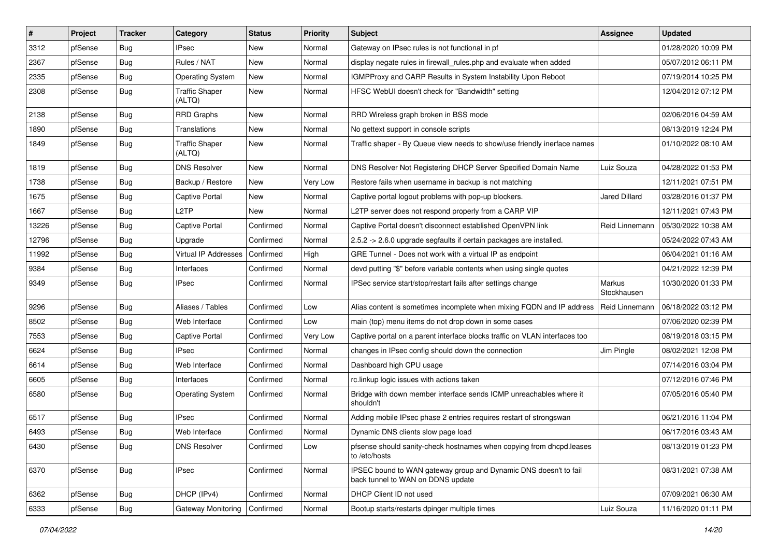| #     | Project | <b>Tracker</b> | Category                        | <b>Status</b> | <b>Priority</b> | Subject                                                                                               | <b>Assignee</b>       | <b>Updated</b>      |
|-------|---------|----------------|---------------------------------|---------------|-----------------|-------------------------------------------------------------------------------------------------------|-----------------------|---------------------|
| 3312  | pfSense | <b>Bug</b>     | <b>IPsec</b>                    | New           | Normal          | Gateway on IPsec rules is not functional in pf                                                        |                       | 01/28/2020 10:09 PM |
| 2367  | pfSense | <b>Bug</b>     | Rules / NAT                     | New           | Normal          | display negate rules in firewall_rules.php and evaluate when added                                    |                       | 05/07/2012 06:11 PM |
| 2335  | pfSense | <b>Bug</b>     | Operating System                | New           | Normal          | IGMPProxy and CARP Results in System Instability Upon Reboot                                          |                       | 07/19/2014 10:25 PM |
| 2308  | pfSense | <b>Bug</b>     | <b>Traffic Shaper</b><br>(ALTQ) | New           | Normal          | HFSC WebUI doesn't check for "Bandwidth" setting                                                      |                       | 12/04/2012 07:12 PM |
| 2138  | pfSense | <b>Bug</b>     | <b>RRD Graphs</b>               | New           | Normal          | RRD Wireless graph broken in BSS mode                                                                 |                       | 02/06/2016 04:59 AM |
| 1890  | pfSense | <b>Bug</b>     | Translations                    | New           | Normal          | No gettext support in console scripts                                                                 |                       | 08/13/2019 12:24 PM |
| 1849  | pfSense | <b>Bug</b>     | <b>Traffic Shaper</b><br>(ALTQ) | New           | Normal          | Traffic shaper - By Queue view needs to show/use friendly inerface names                              |                       | 01/10/2022 08:10 AM |
| 1819  | pfSense | <b>Bug</b>     | <b>DNS Resolver</b>             | New           | Normal          | DNS Resolver Not Registering DHCP Server Specified Domain Name                                        | Luiz Souza            | 04/28/2022 01:53 PM |
| 1738  | pfSense | <b>Bug</b>     | Backup / Restore                | New           | Very Low        | Restore fails when username in backup is not matching                                                 |                       | 12/11/2021 07:51 PM |
| 1675  | pfSense | <b>Bug</b>     | Captive Portal                  | New           | Normal          | Captive portal logout problems with pop-up blockers.                                                  | <b>Jared Dillard</b>  | 03/28/2016 01:37 PM |
| 1667  | pfSense | Bug            | L <sub>2</sub> TP               | New           | Normal          | L2TP server does not respond properly from a CARP VIP                                                 |                       | 12/11/2021 07:43 PM |
| 13226 | pfSense | <b>Bug</b>     | Captive Portal                  | Confirmed     | Normal          | Captive Portal doesn't disconnect established OpenVPN link                                            | Reid Linnemann        | 05/30/2022 10:38 AM |
| 12796 | pfSense | Bug            | Upgrade                         | Confirmed     | Normal          | 2.5.2 -> 2.6.0 upgrade segfaults if certain packages are installed.                                   |                       | 05/24/2022 07:43 AM |
| 11992 | pfSense | Bug            | Virtual IP Addresses            | Confirmed     | High            | GRE Tunnel - Does not work with a virtual IP as endpoint                                              |                       | 06/04/2021 01:16 AM |
| 9384  | pfSense | Bug            | Interfaces                      | Confirmed     | Normal          | devd putting "\$" before variable contents when using single quotes                                   |                       | 04/21/2022 12:39 PM |
| 9349  | pfSense | <b>Bug</b>     | <b>IPsec</b>                    | Confirmed     | Normal          | IPSec service start/stop/restart fails after settings change                                          | Markus<br>Stockhausen | 10/30/2020 01:33 PM |
| 9296  | pfSense | Bug            | Aliases / Tables                | Confirmed     | Low             | Alias content is sometimes incomplete when mixing FQDN and IP address                                 | Reid Linnemann        | 06/18/2022 03:12 PM |
| 8502  | pfSense | Bug            | Web Interface                   | Confirmed     | Low             | main (top) menu items do not drop down in some cases                                                  |                       | 07/06/2020 02:39 PM |
| 7553  | pfSense | <b>Bug</b>     | <b>Captive Portal</b>           | Confirmed     | Very Low        | Captive portal on a parent interface blocks traffic on VLAN interfaces too                            |                       | 08/19/2018 03:15 PM |
| 6624  | pfSense | <b>Bug</b>     | <b>IPsec</b>                    | Confirmed     | Normal          | changes in IPsec config should down the connection                                                    | Jim Pingle            | 08/02/2021 12:08 PM |
| 6614  | pfSense | <b>Bug</b>     | Web Interface                   | Confirmed     | Normal          | Dashboard high CPU usage                                                                              |                       | 07/14/2016 03:04 PM |
| 6605  | pfSense | Bug            | Interfaces                      | Confirmed     | Normal          | rc.linkup logic issues with actions taken                                                             |                       | 07/12/2016 07:46 PM |
| 6580  | pfSense | <b>Bug</b>     | <b>Operating System</b>         | Confirmed     | Normal          | Bridge with down member interface sends ICMP unreachables where it<br>shouldn't                       |                       | 07/05/2016 05:40 PM |
| 6517  | pfSense | <b>Bug</b>     | <b>IPsec</b>                    | Confirmed     | Normal          | Adding mobile IPsec phase 2 entries requires restart of strongswan                                    |                       | 06/21/2016 11:04 PM |
| 6493  | pfSense | <b>Bug</b>     | Web Interface                   | Confirmed     | Normal          | Dynamic DNS clients slow page load                                                                    |                       | 06/17/2016 03:43 AM |
| 6430  | pfSense | Bug            | <b>DNS Resolver</b>             | Confirmed     | Low             | pfsense should sanity-check hostnames when copying from dhcpd.leases<br>to /etc/hosts                 |                       | 08/13/2019 01:23 PM |
| 6370  | pfSense | <b>Bug</b>     | <b>IPsec</b>                    | Confirmed     | Normal          | IPSEC bound to WAN gateway group and Dynamic DNS doesn't to fail<br>back tunnel to WAN on DDNS update |                       | 08/31/2021 07:38 AM |
| 6362  | pfSense | <b>Bug</b>     | DHCP (IPv4)                     | Confirmed     | Normal          | DHCP Client ID not used                                                                               |                       | 07/09/2021 06:30 AM |
| 6333  | pfSense | Bug            | Gateway Monitoring              | Confirmed     | Normal          | Bootup starts/restarts dpinger multiple times                                                         | Luiz Souza            | 11/16/2020 01:11 PM |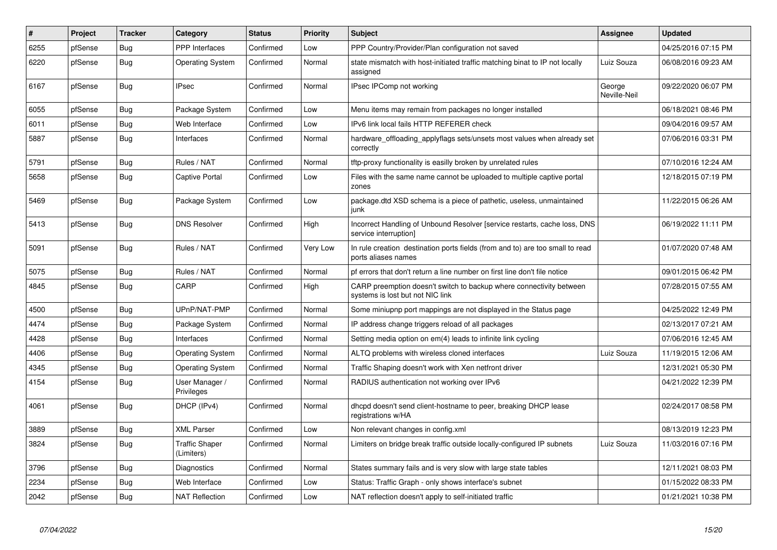| #    | Project | <b>Tracker</b> | Category                            | <b>Status</b> | Priority | <b>Subject</b>                                                                                          | <b>Assignee</b>        | <b>Updated</b>      |
|------|---------|----------------|-------------------------------------|---------------|----------|---------------------------------------------------------------------------------------------------------|------------------------|---------------------|
| 6255 | pfSense | Bug            | PPP Interfaces                      | Confirmed     | Low      | PPP Country/Provider/Plan configuration not saved                                                       |                        | 04/25/2016 07:15 PM |
| 6220 | pfSense | <b>Bug</b>     | <b>Operating System</b>             | Confirmed     | Normal   | state mismatch with host-initiated traffic matching binat to IP not locally<br>assigned                 | Luiz Souza             | 06/08/2016 09:23 AM |
| 6167 | pfSense | <b>Bug</b>     | <b>IPsec</b>                        | Confirmed     | Normal   | IPsec IPComp not working                                                                                | George<br>Neville-Neil | 09/22/2020 06:07 PM |
| 6055 | pfSense | Bug            | Package System                      | Confirmed     | Low      | Menu items may remain from packages no longer installed                                                 |                        | 06/18/2021 08:46 PM |
| 6011 | pfSense | <b>Bug</b>     | Web Interface                       | Confirmed     | Low      | IPv6 link local fails HTTP REFERER check                                                                |                        | 09/04/2016 09:57 AM |
| 5887 | pfSense | <b>Bug</b>     | Interfaces                          | Confirmed     | Normal   | hardware offloading applyflags sets/unsets most values when already set<br>correctly                    |                        | 07/06/2016 03:31 PM |
| 5791 | pfSense | Bug            | Rules / NAT                         | Confirmed     | Normal   | tftp-proxy functionality is easilly broken by unrelated rules                                           |                        | 07/10/2016 12:24 AM |
| 5658 | pfSense | <b>Bug</b>     | Captive Portal                      | Confirmed     | Low      | Files with the same name cannot be uploaded to multiple captive portal<br>zones                         |                        | 12/18/2015 07:19 PM |
| 5469 | pfSense | Bug            | Package System                      | Confirmed     | Low      | package.dtd XSD schema is a piece of pathetic, useless, unmaintained<br>junk                            |                        | 11/22/2015 06:26 AM |
| 5413 | pfSense | <b>Bug</b>     | <b>DNS Resolver</b>                 | Confirmed     | High     | Incorrect Handling of Unbound Resolver [service restarts, cache loss, DNS<br>service interruption]      |                        | 06/19/2022 11:11 PM |
| 5091 | pfSense | <b>Bug</b>     | Rules / NAT                         | Confirmed     | Very Low | In rule creation destination ports fields (from and to) are too small to read<br>ports aliases names    |                        | 01/07/2020 07:48 AM |
| 5075 | pfSense | <b>Bug</b>     | Rules / NAT                         | Confirmed     | Normal   | pf errors that don't return a line number on first line don't file notice                               |                        | 09/01/2015 06:42 PM |
| 4845 | pfSense | <b>Bug</b>     | CARP                                | Confirmed     | High     | CARP preemption doesn't switch to backup where connectivity between<br>systems is lost but not NIC link |                        | 07/28/2015 07:55 AM |
| 4500 | pfSense | <b>Bug</b>     | UPnP/NAT-PMP                        | Confirmed     | Normal   | Some miniupnp port mappings are not displayed in the Status page                                        |                        | 04/25/2022 12:49 PM |
| 4474 | pfSense | <b>Bug</b>     | Package System                      | Confirmed     | Normal   | IP address change triggers reload of all packages                                                       |                        | 02/13/2017 07:21 AM |
| 4428 | pfSense | <b>Bug</b>     | Interfaces                          | Confirmed     | Normal   | Setting media option on em(4) leads to infinite link cycling                                            |                        | 07/06/2016 12:45 AM |
| 4406 | pfSense | <b>Bug</b>     | <b>Operating System</b>             | Confirmed     | Normal   | ALTQ problems with wireless cloned interfaces                                                           | Luiz Souza             | 11/19/2015 12:06 AM |
| 4345 | pfSense | <b>Bug</b>     | Operating System                    | Confirmed     | Normal   | Traffic Shaping doesn't work with Xen netfront driver                                                   |                        | 12/31/2021 05:30 PM |
| 4154 | pfSense | <b>Bug</b>     | User Manager /<br>Privileges        | Confirmed     | Normal   | RADIUS authentication not working over IPv6                                                             |                        | 04/21/2022 12:39 PM |
| 4061 | pfSense | <b>Bug</b>     | DHCP (IPv4)                         | Confirmed     | Normal   | dhcpd doesn't send client-hostname to peer, breaking DHCP lease<br>registrations w/HA                   |                        | 02/24/2017 08:58 PM |
| 3889 | pfSense | <b>Bug</b>     | <b>XML Parser</b>                   | Confirmed     | Low      | Non relevant changes in config.xml                                                                      |                        | 08/13/2019 12:23 PM |
| 3824 | pfSense | <b>Bug</b>     | <b>Traffic Shaper</b><br>(Limiters) | Confirmed     | Normal   | Limiters on bridge break traffic outside locally-configured IP subnets                                  | Luiz Souza             | 11/03/2016 07:16 PM |
| 3796 | pfSense | Bug            | Diagnostics                         | Confirmed     | Normal   | States summary fails and is very slow with large state tables                                           |                        | 12/11/2021 08:03 PM |
| 2234 | pfSense | Bug            | Web Interface                       | Confirmed     | Low      | Status: Traffic Graph - only shows interface's subnet                                                   |                        | 01/15/2022 08:33 PM |
| 2042 | pfSense | <b>Bug</b>     | <b>NAT Reflection</b>               | Confirmed     | Low      | NAT reflection doesn't apply to self-initiated traffic                                                  |                        | 01/21/2021 10:38 PM |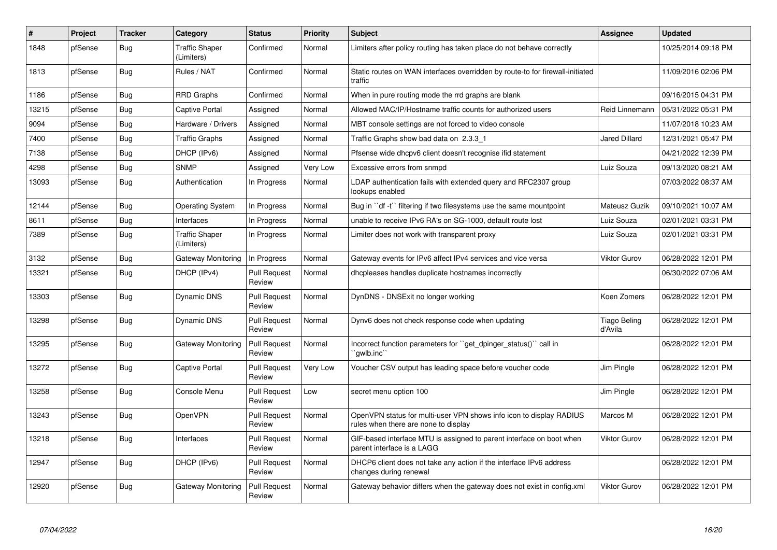| #     | Project | <b>Tracker</b> | Category                            | <b>Status</b>                 | <b>Priority</b> | <b>Subject</b>                                                                                              | Assignee                | <b>Updated</b>      |
|-------|---------|----------------|-------------------------------------|-------------------------------|-----------------|-------------------------------------------------------------------------------------------------------------|-------------------------|---------------------|
| 1848  | pfSense | Bug            | <b>Traffic Shaper</b><br>(Limiters) | Confirmed                     | Normal          | Limiters after policy routing has taken place do not behave correctly                                       |                         | 10/25/2014 09:18 PM |
| 1813  | pfSense | <b>Bug</b>     | Rules / NAT                         | Confirmed                     | Normal          | Static routes on WAN interfaces overridden by route-to for firewall-initiated<br>traffic                    |                         | 11/09/2016 02:06 PM |
| 1186  | pfSense | <b>Bug</b>     | <b>RRD Graphs</b>                   | Confirmed                     | Normal          | When in pure routing mode the rrd graphs are blank                                                          |                         | 09/16/2015 04:31 PM |
| 13215 | pfSense | Bug            | Captive Portal                      | Assigned                      | Normal          | Allowed MAC/IP/Hostname traffic counts for authorized users                                                 | Reid Linnemann          | 05/31/2022 05:31 PM |
| 9094  | pfSense | <b>Bug</b>     | Hardware / Drivers                  | Assigned                      | Normal          | MBT console settings are not forced to video console                                                        |                         | 11/07/2018 10:23 AM |
| 7400  | pfSense | Bug            | <b>Traffic Graphs</b>               | Assigned                      | Normal          | Traffic Graphs show bad data on 2.3.3 1                                                                     | <b>Jared Dillard</b>    | 12/31/2021 05:47 PM |
| 7138  | pfSense | <b>Bug</b>     | DHCP (IPv6)                         | Assigned                      | Normal          | Pfsense wide dhcpv6 client doesn't recognise ifid statement                                                 |                         | 04/21/2022 12:39 PM |
| 4298  | pfSense | <b>Bug</b>     | <b>SNMP</b>                         | Assigned                      | Very Low        | Excessive errors from snmpd                                                                                 | Luiz Souza              | 09/13/2020 08:21 AM |
| 13093 | pfSense | <b>Bug</b>     | Authentication                      | In Progress                   | Normal          | LDAP authentication fails with extended query and RFC2307 group<br>lookups enabled                          |                         | 07/03/2022 08:37 AM |
| 12144 | pfSense | Bug            | <b>Operating System</b>             | In Progress                   | Normal          | Bug in "df -t" filtering if two filesystems use the same mountpoint                                         | Mateusz Guzik           | 09/10/2021 10:07 AM |
| 8611  | pfSense | <b>Bug</b>     | Interfaces                          | In Progress                   | Normal          | unable to receive IPv6 RA's on SG-1000, default route lost                                                  | Luiz Souza              | 02/01/2021 03:31 PM |
| 7389  | pfSense | <b>Bug</b>     | <b>Traffic Shaper</b><br>(Limiters) | In Progress                   | Normal          | Limiter does not work with transparent proxy                                                                | Luiz Souza              | 02/01/2021 03:31 PM |
| 3132  | pfSense | Bug            | Gateway Monitoring                  | In Progress                   | Normal          | Gateway events for IPv6 affect IPv4 services and vice versa                                                 | <b>Viktor Gurov</b>     | 06/28/2022 12:01 PM |
| 13321 | pfSense | <b>Bug</b>     | DHCP (IPv4)                         | <b>Pull Request</b><br>Review | Normal          | dhcpleases handles duplicate hostnames incorrectly                                                          |                         | 06/30/2022 07:06 AM |
| 13303 | pfSense | Bug            | Dynamic DNS                         | <b>Pull Request</b><br>Review | Normal          | DynDNS - DNSExit no longer working                                                                          | Koen Zomers             | 06/28/2022 12:01 PM |
| 13298 | pfSense | <b>Bug</b>     | Dynamic DNS                         | Pull Request<br>Review        | Normal          | Dynv6 does not check response code when updating                                                            | Tiago Beling<br>d'Avila | 06/28/2022 12:01 PM |
| 13295 | pfSense | <b>Bug</b>     | Gateway Monitoring                  | <b>Pull Request</b><br>Review | Normal          | Incorrect function parameters for "get dpinger status()" call in<br>`qwlb.inc`                              |                         | 06/28/2022 12:01 PM |
| 13272 | pfSense | Bug            | Captive Portal                      | <b>Pull Request</b><br>Review | Very Low        | Voucher CSV output has leading space before voucher code                                                    | Jim Pingle              | 06/28/2022 12:01 PM |
| 13258 | pfSense | Bug            | Console Menu                        | <b>Pull Request</b><br>Review | Low             | secret menu option 100                                                                                      | Jim Pingle              | 06/28/2022 12:01 PM |
| 13243 | pfSense | <b>Bug</b>     | OpenVPN                             | <b>Pull Request</b><br>Review | Normal          | OpenVPN status for multi-user VPN shows info icon to display RADIUS<br>rules when there are none to display | Marcos M                | 06/28/2022 12:01 PM |
| 13218 | pfSense | <b>Bug</b>     | Interfaces                          | <b>Pull Request</b><br>Review | Normal          | GIF-based interface MTU is assigned to parent interface on boot when<br>parent interface is a LAGG          | Viktor Gurov            | 06/28/2022 12:01 PM |
| 12947 | pfSense | <b>Bug</b>     | DHCP (IPv6)                         | <b>Pull Request</b><br>Review | Normal          | DHCP6 client does not take any action if the interface IPv6 address<br>changes during renewal               |                         | 06/28/2022 12:01 PM |
| 12920 | pfSense | Bug            | Gateway Monitoring                  | <b>Pull Request</b><br>Review | Normal          | Gateway behavior differs when the gateway does not exist in config.xml                                      | Viktor Gurov            | 06/28/2022 12:01 PM |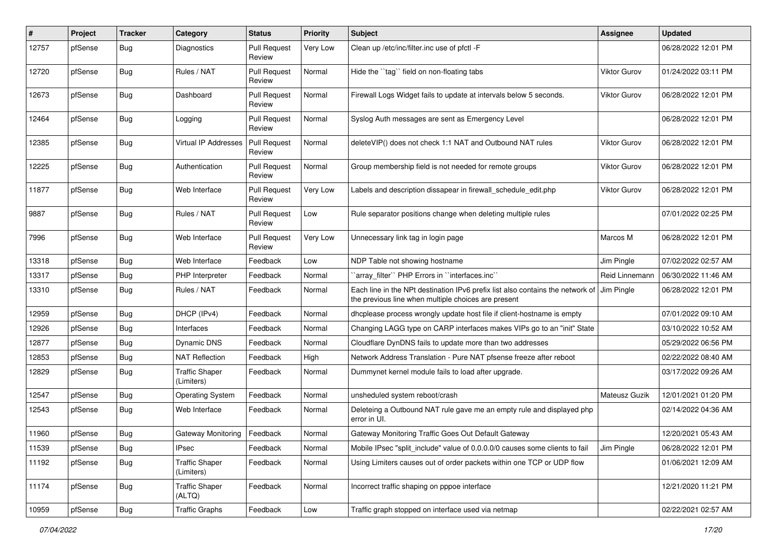| $\pmb{\#}$ | Project | <b>Tracker</b> | Category                            | <b>Status</b>                 | <b>Priority</b> | Subject                                                                                                                               | <b>Assignee</b>     | <b>Updated</b>      |
|------------|---------|----------------|-------------------------------------|-------------------------------|-----------------|---------------------------------------------------------------------------------------------------------------------------------------|---------------------|---------------------|
| 12757      | pfSense | Bug            | Diagnostics                         | <b>Pull Request</b><br>Review | Very Low        | Clean up /etc/inc/filter.inc use of pfctl -F                                                                                          |                     | 06/28/2022 12:01 PM |
| 12720      | pfSense | <b>Bug</b>     | Rules / NAT                         | <b>Pull Request</b><br>Review | Normal          | Hide the "tag" field on non-floating tabs                                                                                             | Viktor Gurov        | 01/24/2022 03:11 PM |
| 12673      | pfSense | <b>Bug</b>     | Dashboard                           | <b>Pull Request</b><br>Review | Normal          | Firewall Logs Widget fails to update at intervals below 5 seconds.                                                                    | Viktor Gurov        | 06/28/2022 12:01 PM |
| 12464      | pfSense | Bug            | Logging                             | <b>Pull Request</b><br>Review | Normal          | Syslog Auth messages are sent as Emergency Level                                                                                      |                     | 06/28/2022 12:01 PM |
| 12385      | pfSense | Bug            | <b>Virtual IP Addresses</b>         | Pull Request<br>Review        | Normal          | deleteVIP() does not check 1:1 NAT and Outbound NAT rules                                                                             | Viktor Gurov        | 06/28/2022 12:01 PM |
| 12225      | pfSense | <b>Bug</b>     | Authentication                      | <b>Pull Request</b><br>Review | Normal          | Group membership field is not needed for remote groups                                                                                | <b>Viktor Gurov</b> | 06/28/2022 12:01 PM |
| 11877      | pfSense | <b>Bug</b>     | Web Interface                       | <b>Pull Request</b><br>Review | Very Low        | Labels and description dissapear in firewall schedule edit.php                                                                        | <b>Viktor Gurov</b> | 06/28/2022 12:01 PM |
| 9887       | pfSense | Bug            | Rules / NAT                         | <b>Pull Request</b><br>Review | Low             | Rule separator positions change when deleting multiple rules                                                                          |                     | 07/01/2022 02:25 PM |
| 7996       | pfSense | Bug            | Web Interface                       | <b>Pull Request</b><br>Review | Very Low        | Unnecessary link tag in login page                                                                                                    | Marcos M            | 06/28/2022 12:01 PM |
| 13318      | pfSense | <b>Bug</b>     | Web Interface                       | Feedback                      | Low             | NDP Table not showing hostname                                                                                                        | Jim Pingle          | 07/02/2022 02:57 AM |
| 13317      | pfSense | <b>Bug</b>     | PHP Interpreter                     | Feedback                      | Normal          | `array_filter`` PHP Errors in ``interfaces.inc``                                                                                      | Reid Linnemann      | 06/30/2022 11:46 AM |
| 13310      | pfSense | Bug            | Rules / NAT                         | Feedback                      | Normal          | Each line in the NPt destination IPv6 prefix list also contains the network of<br>the previous line when multiple choices are present | Jim Pingle          | 06/28/2022 12:01 PM |
| 12959      | pfSense | <b>Bug</b>     | DHCP (IPv4)                         | Feedback                      | Normal          | dhcplease process wrongly update host file if client-hostname is empty                                                                |                     | 07/01/2022 09:10 AM |
| 12926      | pfSense | <b>Bug</b>     | Interfaces                          | Feedback                      | Normal          | Changing LAGG type on CARP interfaces makes VIPs go to an "init" State                                                                |                     | 03/10/2022 10:52 AM |
| 12877      | pfSense | Bug            | Dynamic DNS                         | Feedback                      | Normal          | Cloudflare DynDNS fails to update more than two addresses                                                                             |                     | 05/29/2022 06:56 PM |
| 12853      | pfSense | <b>Bug</b>     | <b>NAT Reflection</b>               | Feedback                      | High            | Network Address Translation - Pure NAT pfsense freeze after reboot                                                                    |                     | 02/22/2022 08:40 AM |
| 12829      | pfSense | <b>Bug</b>     | <b>Traffic Shaper</b><br>(Limiters) | Feedback                      | Normal          | Dummynet kernel module fails to load after upgrade.                                                                                   |                     | 03/17/2022 09:26 AM |
| 12547      | pfSense | <b>Bug</b>     | <b>Operating System</b>             | Feedback                      | Normal          | unsheduled system reboot/crash                                                                                                        | Mateusz Guzik       | 12/01/2021 01:20 PM |
| 12543      | pfSense | <b>Bug</b>     | Web Interface                       | Feedback                      | Normal          | Deleteing a Outbound NAT rule gave me an empty rule and displayed php<br>error in UI.                                                 |                     | 02/14/2022 04:36 AM |
| 11960      | pfSense | <b>Bug</b>     | Gateway Monitoring                  | Feedback                      | Normal          | Gateway Monitoring Traffic Goes Out Default Gateway                                                                                   |                     | 12/20/2021 05:43 AM |
| 11539      | pfSense | Bug            | <b>IPsec</b>                        | Feedback                      | Normal          | Mobile IPsec "split include" value of 0.0.0.0/0 causes some clients to fail                                                           | Jim Pingle          | 06/28/2022 12:01 PM |
| 11192      | pfSense | <b>Bug</b>     | <b>Traffic Shaper</b><br>(Limiters) | Feedback                      | Normal          | Using Limiters causes out of order packets within one TCP or UDP flow                                                                 |                     | 01/06/2021 12:09 AM |
| 11174      | pfSense | Bug            | <b>Traffic Shaper</b><br>(ALTQ)     | Feedback                      | Normal          | Incorrect traffic shaping on pppoe interface                                                                                          |                     | 12/21/2020 11:21 PM |
| 10959      | pfSense | Bug            | <b>Traffic Graphs</b>               | Feedback                      | Low             | Traffic graph stopped on interface used via netmap                                                                                    |                     | 02/22/2021 02:57 AM |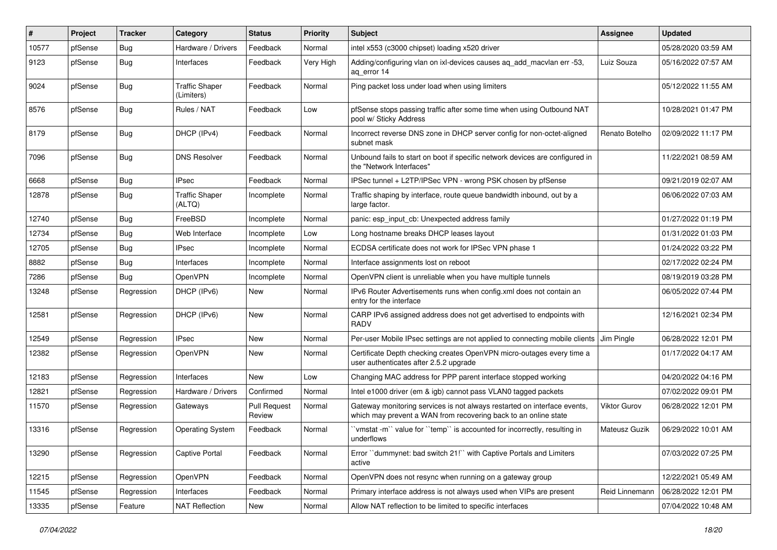| #     | Project | <b>Tracker</b> | Category                            | <b>Status</b>                 | <b>Priority</b> | Subject                                                                                                                                     | <b>Assignee</b>     | <b>Updated</b>      |
|-------|---------|----------------|-------------------------------------|-------------------------------|-----------------|---------------------------------------------------------------------------------------------------------------------------------------------|---------------------|---------------------|
| 10577 | pfSense | <b>Bug</b>     | Hardware / Drivers                  | Feedback                      | Normal          | intel x553 (c3000 chipset) loading x520 driver                                                                                              |                     | 05/28/2020 03:59 AM |
| 9123  | pfSense | Bug            | Interfaces                          | Feedback                      | Very High       | Adding/configuring vlan on ixi-devices causes ag add macvian err -53,<br>ag error 14                                                        | Luiz Souza          | 05/16/2022 07:57 AM |
| 9024  | pfSense | Bug            | <b>Traffic Shaper</b><br>(Limiters) | Feedback                      | Normal          | Ping packet loss under load when using limiters                                                                                             |                     | 05/12/2022 11:55 AM |
| 8576  | pfSense | <b>Bug</b>     | Rules / NAT                         | Feedback                      | Low             | pfSense stops passing traffic after some time when using Outbound NAT<br>pool w/ Sticky Address                                             |                     | 10/28/2021 01:47 PM |
| 8179  | pfSense | Bug            | DHCP (IPv4)                         | Feedback                      | Normal          | Incorrect reverse DNS zone in DHCP server config for non-octet-aligned<br>subnet mask                                                       | Renato Botelho      | 02/09/2022 11:17 PM |
| 7096  | pfSense | <b>Bug</b>     | <b>DNS Resolver</b>                 | Feedback                      | Normal          | Unbound fails to start on boot if specific network devices are configured in<br>the "Network Interfaces"                                    |                     | 11/22/2021 08:59 AM |
| 6668  | pfSense | Bug            | <b>IPsec</b>                        | Feedback                      | Normal          | IPSec tunnel + L2TP/IPSec VPN - wrong PSK chosen by pfSense                                                                                 |                     | 09/21/2019 02:07 AM |
| 12878 | pfSense | <b>Bug</b>     | <b>Traffic Shaper</b><br>(ALTQ)     | Incomplete                    | Normal          | Traffic shaping by interface, route queue bandwidth inbound, out by a<br>large factor.                                                      |                     | 06/06/2022 07:03 AM |
| 12740 | pfSense | Bug            | FreeBSD                             | Incomplete                    | Normal          | panic: esp_input_cb: Unexpected address family                                                                                              |                     | 01/27/2022 01:19 PM |
| 12734 | pfSense | Bug            | Web Interface                       | Incomplete                    | Low             | Long hostname breaks DHCP leases layout                                                                                                     |                     | 01/31/2022 01:03 PM |
| 12705 | pfSense | Bug            | <b>IPsec</b>                        | Incomplete                    | Normal          | ECDSA certificate does not work for IPSec VPN phase 1                                                                                       |                     | 01/24/2022 03:22 PM |
| 8882  | pfSense | Bug            | Interfaces                          | Incomplete                    | Normal          | Interface assignments lost on reboot                                                                                                        |                     | 02/17/2022 02:24 PM |
| 7286  | pfSense | Bug            | OpenVPN                             | Incomplete                    | Normal          | OpenVPN client is unreliable when you have multiple tunnels                                                                                 |                     | 08/19/2019 03:28 PM |
| 13248 | pfSense | Regression     | DHCP (IPv6)                         | New                           | Normal          | IPv6 Router Advertisements runs when config.xml does not contain an<br>entry for the interface                                              |                     | 06/05/2022 07:44 PM |
| 12581 | pfSense | Regression     | DHCP (IPv6)                         | New                           | Normal          | CARP IPv6 assigned address does not get advertised to endpoints with<br><b>RADV</b>                                                         |                     | 12/16/2021 02:34 PM |
| 12549 | pfSense | Regression     | <b>IPsec</b>                        | <b>New</b>                    | Normal          | Per-user Mobile IPsec settings are not applied to connecting mobile clients Jim Pingle                                                      |                     | 06/28/2022 12:01 PM |
| 12382 | pfSense | Regression     | OpenVPN                             | New                           | Normal          | Certificate Depth checking creates OpenVPN micro-outages every time a<br>user authenticates after 2.5.2 upgrade                             |                     | 01/17/2022 04:17 AM |
| 12183 | pfSense | Regression     | Interfaces                          | <b>New</b>                    | Low             | Changing MAC address for PPP parent interface stopped working                                                                               |                     | 04/20/2022 04:16 PM |
| 12821 | pfSense | Regression     | Hardware / Drivers                  | Confirmed                     | Normal          | Intel e1000 driver (em & igb) cannot pass VLAN0 tagged packets                                                                              |                     | 07/02/2022 09:01 PM |
| 11570 | pfSense | Regression     | Gateways                            | <b>Pull Request</b><br>Review | Normal          | Gateway monitoring services is not always restarted on interface events,<br>which may prevent a WAN from recovering back to an online state | <b>Viktor Gurov</b> | 06/28/2022 12:01 PM |
| 13316 | pfSense | Regression     | <b>Operating System</b>             | Feedback                      | Normal          | 'vmstat -m'' value for "temp" is accounted for incorrectly, resulting in<br>underflows                                                      | Mateusz Guzik       | 06/29/2022 10:01 AM |
| 13290 | pfSense | Regression     | Captive Portal                      | Feedback                      | Normal          | Error "dummynet: bad switch 21!" with Captive Portals and Limiters<br>active                                                                |                     | 07/03/2022 07:25 PM |
| 12215 | pfSense | Regression     | OpenVPN                             | Feedback                      | Normal          | OpenVPN does not resync when running on a gateway group                                                                                     |                     | 12/22/2021 05:49 AM |
| 11545 | pfSense | Regression     | Interfaces                          | Feedback                      | Normal          | Primary interface address is not always used when VIPs are present                                                                          | Reid Linnemann      | 06/28/2022 12:01 PM |
| 13335 | pfSense | Feature        | <b>NAT Reflection</b>               | New                           | Normal          | Allow NAT reflection to be limited to specific interfaces                                                                                   |                     | 07/04/2022 10:48 AM |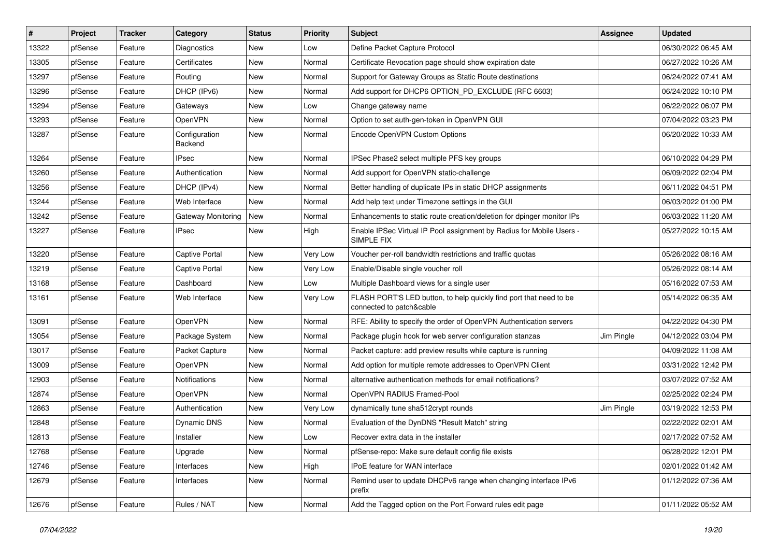| $\vert$ # | Project | <b>Tracker</b> | Category                  | <b>Status</b> | <b>Priority</b> | Subject                                                                                        | <b>Assignee</b> | <b>Updated</b>      |
|-----------|---------|----------------|---------------------------|---------------|-----------------|------------------------------------------------------------------------------------------------|-----------------|---------------------|
| 13322     | pfSense | Feature        | Diagnostics               | New           | Low             | Define Packet Capture Protocol                                                                 |                 | 06/30/2022 06:45 AM |
| 13305     | pfSense | Feature        | Certificates              | New           | Normal          | Certificate Revocation page should show expiration date                                        |                 | 06/27/2022 10:26 AM |
| 13297     | pfSense | Feature        | Routing                   | New           | Normal          | Support for Gateway Groups as Static Route destinations                                        |                 | 06/24/2022 07:41 AM |
| 13296     | pfSense | Feature        | DHCP (IPv6)               | New           | Normal          | Add support for DHCP6 OPTION PD EXCLUDE (RFC 6603)                                             |                 | 06/24/2022 10:10 PM |
| 13294     | pfSense | Feature        | Gateways                  | New           | Low             | Change gateway name                                                                            |                 | 06/22/2022 06:07 PM |
| 13293     | pfSense | Feature        | OpenVPN                   | New           | Normal          | Option to set auth-gen-token in OpenVPN GUI                                                    |                 | 07/04/2022 03:23 PM |
| 13287     | pfSense | Feature        | Configuration<br>Backend  | New           | Normal          | Encode OpenVPN Custom Options                                                                  |                 | 06/20/2022 10:33 AM |
| 13264     | pfSense | Feature        | IPsec                     | New           | Normal          | IPSec Phase2 select multiple PFS key groups                                                    |                 | 06/10/2022 04:29 PM |
| 13260     | pfSense | Feature        | Authentication            | New           | Normal          | Add support for OpenVPN static-challenge                                                       |                 | 06/09/2022 02:04 PM |
| 13256     | pfSense | Feature        | DHCP (IPv4)               | New           | Normal          | Better handling of duplicate IPs in static DHCP assignments                                    |                 | 06/11/2022 04:51 PM |
| 13244     | pfSense | Feature        | Web Interface             | New           | Normal          | Add help text under Timezone settings in the GUI                                               |                 | 06/03/2022 01:00 PM |
| 13242     | pfSense | Feature        | <b>Gateway Monitoring</b> | New           | Normal          | Enhancements to static route creation/deletion for dpinger monitor IPs                         |                 | 06/03/2022 11:20 AM |
| 13227     | pfSense | Feature        | IPsec                     | New           | High            | Enable IPSec Virtual IP Pool assignment by Radius for Mobile Users -<br>SIMPLE FIX             |                 | 05/27/2022 10:15 AM |
| 13220     | pfSense | Feature        | <b>Captive Portal</b>     | New           | Very Low        | Voucher per-roll bandwidth restrictions and traffic quotas                                     |                 | 05/26/2022 08:16 AM |
| 13219     | pfSense | Feature        | Captive Portal            | New           | Very Low        | Enable/Disable single voucher roll                                                             |                 | 05/26/2022 08:14 AM |
| 13168     | pfSense | Feature        | Dashboard                 | New           | Low             | Multiple Dashboard views for a single user                                                     |                 | 05/16/2022 07:53 AM |
| 13161     | pfSense | Feature        | Web Interface             | New           | Very Low        | FLASH PORT'S LED button, to help quickly find port that need to be<br>connected to patch&cable |                 | 05/14/2022 06:35 AM |
| 13091     | pfSense | Feature        | OpenVPN                   | New           | Normal          | RFE: Ability to specify the order of OpenVPN Authentication servers                            |                 | 04/22/2022 04:30 PM |
| 13054     | pfSense | Feature        | Package System            | New           | Normal          | Package plugin hook for web server configuration stanzas                                       | Jim Pingle      | 04/12/2022 03:04 PM |
| 13017     | pfSense | Feature        | Packet Capture            | New           | Normal          | Packet capture: add preview results while capture is running                                   |                 | 04/09/2022 11:08 AM |
| 13009     | pfSense | Feature        | OpenVPN                   | New           | Normal          | Add option for multiple remote addresses to OpenVPN Client                                     |                 | 03/31/2022 12:42 PM |
| 12903     | pfSense | Feature        | Notifications             | New           | Normal          | alternative authentication methods for email notifications?                                    |                 | 03/07/2022 07:52 AM |
| 12874     | pfSense | Feature        | OpenVPN                   | New           | Normal          | OpenVPN RADIUS Framed-Pool                                                                     |                 | 02/25/2022 02:24 PM |
| 12863     | pfSense | Feature        | Authentication            | New           | Very Low        | dynamically tune sha512crypt rounds                                                            | Jim Pingle      | 03/19/2022 12:53 PM |
| 12848     | pfSense | Feature        | Dynamic DNS               | New           | Normal          | Evaluation of the DynDNS "Result Match" string                                                 |                 | 02/22/2022 02:01 AM |
| 12813     | pfSense | Feature        | Installer                 | New           | Low             | Recover extra data in the installer                                                            |                 | 02/17/2022 07:52 AM |
| 12768     | pfSense | Feature        | Upgrade                   | New           | Normal          | pfSense-repo: Make sure default config file exists                                             |                 | 06/28/2022 12:01 PM |
| 12746     | pfSense | Feature        | Interfaces                | New           | High            | IPoE feature for WAN interface                                                                 |                 | 02/01/2022 01:42 AM |
| 12679     | pfSense | Feature        | Interfaces                | New           | Normal          | Remind user to update DHCPv6 range when changing interface IPv6<br>prefix                      |                 | 01/12/2022 07:36 AM |
| 12676     | pfSense | Feature        | Rules / NAT               | New           | Normal          | Add the Tagged option on the Port Forward rules edit page                                      |                 | 01/11/2022 05:52 AM |